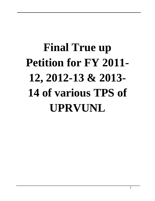# **Final True up Petition for FY 2011- 12, 2012-13 & 2013- 14 of various TPS of UPRVUNL**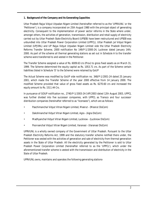#### **1. Background of the Company and its Generating Capacities**

Uttar Pradesh Rajya Vidyut Utpadan Nigam Limited (hereinafter referred to as the 'UPRVUNL' or the 'Petitioner'), is a company incorporated on 25th August 1980 with the principal object of generating electricity. Consequent to the implementation of power sector reforms in the State where under, amongst others, the activities of generation, transmission, distribution and retail supply of electricity carried out by Uttar Pradesh State Electricity Board (UPSEB) have been restructured and UPSEB was unbundled into Uttar Pradesh Power Corporation Limited (UPPCL), Uttar Pradesh Jal Vidyut Nigam Limited (UPJVNL) and UP Rajya Vidyut Utpadan Nigam Limited vide the Uttar Pradesh Electricity Reforms Transfer Scheme, 2000 notification No 149/P-1/2000-24, Lucknow dated January 14th, 2000. As part of the scheme all thermal generating stations as set out in Schedule A to the transfer scheme were transferred to and vested in the Petitioner.

The Transfer Scheme assigned a value of Rs. 6009.63 crs (Prov) to gross fixed assets as on March 31, 1999. The Scheme determined the equity capital as Rs. 1053.71 crs. As part of the Scheme certain liabilities (listed in Schedule 'D' to the Scheme) were retained by GoUP

The Actual Scheme was modified by GoUP vide notification no. 348/P-1/2001-24 dated 25 January 2001, which made the Transfer Scheme of the year 2000 effective from 14 January 2000. The modified Scheme provided that value of gross fixed assets as Rs. 6270.60 crs and increased the equity amount to Rs. 1511.44 Crs.

In pursuance of GOUP notification no., 2740/P-1/2003-24-14P/2003 dated 12th August 2003, UPPCL was further divided into five successor companies, with UPPCL as Transco and four successor distribution companies (hereinafter referred to as "licensees"), which are as follows:

- Paschimanchal Vidyut Vitran Nigam Limited, Meerut (Meerut DisCom)
- Dakshinanchal Vidyut Vitran Nigam Limited, Agra (Agra DisCom)
- Madhyanchal Vidyut Vitran Nigam Limited, Lucknow (Lucknow DisCom)
- Poorvanchal Vidyut Vitran Nigam Limited, Varanasi (Varanasi DisCom)

UPRVUNL is a wholly owned company of the Government of Uttar Pradesh. Pursuant to the Uttar Pradesh Electricity Reforms Act, 1999 and the statutory transfer scheme notified there under, the Petitioner was vested with the activities of generation and sale of electricity from thermal generation assets in the State of Uttar Pradesh. All the electricity generated by the Petitioner is sold to Uttar Pradesh Power Corporation Limited (hereinafter referred to as the 'UPPCL'), which under the aforementioned transfer scheme is vested with the transmission and distribution of electricity in the State of Uttar Pradesh.

UPRVUNL owns, maintains and operates the following generating stations-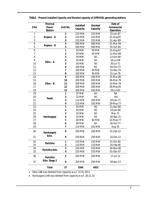| S <sub>No</sub> | <b>Thermal</b><br><b>Power</b><br><b>Station</b> | Unit No.                | <b>Installed</b><br>Capacity | <b>Derated</b><br>Capacity | Date of<br><b>Commercial</b><br><b>Operation</b> |
|-----------------|--------------------------------------------------|-------------------------|------------------------------|----------------------------|--------------------------------------------------|
| 1               |                                                  | 1                       | 210 MW                       | 210 MW                     | 01-Jan-87                                        |
| $\overline{c}$  | Anpara - A                                       | $\mathbf 2$             | 210 MW                       | 210 MW                     | 01-Aug-87                                        |
| 3               |                                                  | 3                       | 210 MW                       | 210 MW                     | 01-Apr-89                                        |
| $\overline{4}$  |                                                  | $\overline{4}$          | 500 MW                       | 500 MW                     | 01-Mar-94                                        |
| 5               | Anpara - B                                       | 5                       | 500 MW                       | 500 MW                     | 01-Oct-94                                        |
| $\overline{6}$  |                                                  | $\overline{1}$          | 50 MW                        | 50 MW                      | 15-Aug-67                                        |
| 7               |                                                  | $\overline{\mathbf{c}}$ | 50 MW                        | 50 MW                      | 11-Mar-68                                        |
| 8               |                                                  | 3                       | 50 MW                        | Nil                        | 13-Oct-68                                        |
| 9               |                                                  | 4                       | 50 MW                        | Nil                        | 16-Jul-69                                        |
| 10              | Obra $- A$                                       | 5                       | 50 MW                        | Nil                        | 30-Jul-71                                        |
| 11              |                                                  | 6                       | 100 MW                       | Nil                        | 04-Oct-73                                        |
| 12              |                                                  | $\overline{\mathbf{z}}$ | 100 MW                       | 94 MW                      | 14-Dec-74                                        |
| 13              |                                                  | 8                       | 100 MW                       | 94 MW                      | 01-Jan-76                                        |
| 14              |                                                  | 9                       | 200 MW                       | 200 MW                     | 15-Mar-80                                        |
| 15              |                                                  | 10                      | 200 MW                       | 200 MW                     | 06-Mar-79                                        |
| 16              | $Obra - B$                                       | 11                      | 200 MW                       | 200 MW                     | 14-Mar-78                                        |
| 17              |                                                  | 12                      | 200 MW                       | 200 MW                     | 29-May-81                                        |
| 18              |                                                  | 13                      | 200 MW                       | 200 MW                     | 29-Jul-82                                        |
| 19              |                                                  | 1                       | 32 MW                        | Nil                        | <b>NA</b>                                        |
| 20              |                                                  | $\mathbf 2$             | 32 MW                        | Nil                        | <b>NA</b>                                        |
| 21              | Panki                                            | 3                       | 110 MW                       | 105 MW                     | 29-Jan-77                                        |
| 22              |                                                  | 4                       | 110 MW                       | 105 MW                     | 29-May-77                                        |
| 23              |                                                  | $\overline{\mathbf{1}}$ | 50 MW                        | Nil                        | 21-Apr-68                                        |
| 24              |                                                  | $\overline{\mathbf{2}}$ | 50 MW                        | Nil                        | 23-Jan-69                                        |
| 25              |                                                  | 3                       | 55 MW                        | Nil                        | Mar-72                                           |
| 26              | Harduaganj                                       | 4                       | 55 MW                        | Nil                        | 18-Sep-72                                        |
| 27              |                                                  | 5                       | 60 MW                        | 60 MW                      | 14-May-77                                        |
| 28              |                                                  | 6                       | 60 MW                        | Nil                        | 26-Oct-77                                        |
| 29              |                                                  | 7                       | 110 MW                       | 105 MW                     | Aug-78                                           |
| 30              | Harduaganj                                       | 8                       | 250 MW                       | 250 MW                     | 01-Feb-12                                        |
| 31              | Extn.                                            | 9                       | 250 MW                       | 250 MW                     | 10-Oct-13                                        |
| 32              | Parichha                                         | 1                       | 110 MW                       | 110 MW                     | 01-Oct-85                                        |
| 33              |                                                  | $\mathbf 2$             | 110 MW                       | 110 MW                     | 25-Feb-85                                        |
| 34              | Parichha Extn                                    | 3                       | 210 MW                       | 210 MW                     | 24-Nov-06                                        |
| 35              |                                                  | 4                       | 210 MW                       | 210 MW                     | 01-Dec-07                                        |
| 36              | Parichha                                         | 5                       | 250 MW                       | 250 MW                     | 17-Jul-12                                        |
| 37              | Extn. Stage 2                                    | 6                       | 250 MW                       | 250 MW                     | 18-Apr-13                                        |
|                 | <b>Total</b>                                     | 37                      | 5544                         | 4933                       |                                                  |

**TABLE – Present Installed Capacity and Derated capacity of UPRVUNL generating stations** 

*Obra U#6 was deleted from capacity w.e.f. 12.01.2011*

*Harduaganj U#3 was deleted from capacity w.e.f. 20.11.10*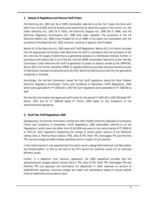# **1. Scheme of Regulations and Previous Tariff Orders**

The Electricity Act, 2003 (Act 36 of 2003) (hereinafter referred to as the 'Act') came into force with effect from 10.6.2003 and the previous Acts governing the electricity supply in the country viz. The Indian Electricity Act, 1910 (9 of 1910), the Electricity (Supply) Act, 1948 (54 of 1948), and the Electricity Regulatory Commissions Act, 1998 have been repealed. The provisions of the UP Electricity Reform Act, 1999 (Uttar Pradesh Act 24 of 1999) to the extent not inconsistent with the provisions of the Electricity Act, 2003, however, continue to apply to Uttar Pradesh.

Section 61 of the Electricity Act, 2003 deals with Tariff Regulations. Section 62 (1) of the Act provides that the Appropriate Commission shall determine the tariff in accordance with the provisions of the Act, inter-alia, for supply of electricity by a generating company to a distribution licensee. Further, in accordance with Section 86 (1) (a) of the Act, Hon'ble UPERC (hereinafter referred to as the 'Hon'ble Commission') shall determine the tariff of generation of power at stations owned by the UPRVUNL. Section 86 (1) (b) further mandates UPERC to regulate electricity purchase and procurement process of distribution licensees including the price at which electricity shall be procured from the generating companies or licensees.

Accordingly, the Hon'ble Commission issued the first tariff regulations being the Uttar Pradesh Electricity Regulatory Commission (Terms and Conditions of Generation Tariff) Regulations, 2004 which were applicable for FY 2005-06 to 2007-08. Such regulations were extended for FY 2008-09 as well.

The Hon'ble Commission had approved tariff orders for the period FY 2005-06 to 2007-08 dated 26<sup>th</sup> March, 2007 and for FY 2008-09 dated 6<sup>th</sup> March, 2009 based on the framework of the aforementioned regulations.

# **2. Multi Year Tariff Regulations, 2009**

Subsequently, the Hon'ble Commission notified the Uttar Pradesh Electricity Regulatory Commission (Terms and Conditions of Generation Tariff) Regulations, 2009 (hereinafter referred to as the 'Regulations') which came into effect from 01.04.2009 and were for the control period of FY 2009-10 to 2013-14. Such regulations recognizing the vintage of certain power stations of the Petitioner namely Obra A Thermal Power Station (TPS), Obra B TPS, Panki TPS, Harduaganj TPS and Parichha TPS, and accordingly provided relaxed operating norms in respect of such stations.

In the interim period it was expected that the plants would undergo Refurbishment and Renovation and Modernisation, so that by the end of the MYT period the machines would run at improved efficiency levels.

Further, in a departure from previous regulations, the 2009 regulations provides that the aforementioned vintage stations namely Obra A TPS, Obra B TPS, Panki TPS, Harduaganj TPS and Parichha TPS may approach the Commission for adjustment in O&M expenses on account of establishment expenses, insurance charges and repair and maintenance based on annual audited financial statements and prudence check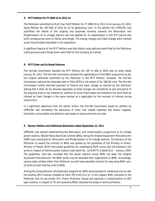#### **3. MYT Petition for FY 2009-10 to 2013-14**

The Petitioner submitted its Multi Year Tariff Petition for FY 2009-10 to 2013-14 on January 20, 2010, being Petition No. 647-656 of 2010 for all its generating units. In the petition the UPRVUNL had submitted the details of the ongoing and proposed schemes towards the Renovation and Modernisation of its vintage stations and had applied for its capitalization in the MYT period and tariff consequences were to follow accordingly. The energy charges and fixed charges were claimed as per the principles stipulated in the regulations.

A significant feature of the MYT Petition was that station wise petitions were filed by the Petitioner unlike previous years filings which were filed for the company as a whole

# **4. MYT Order and its Broad Features**

The Hon'ble Commission decided the MYT Petition No. 647 to 656 of 2010 vide its order dated January 20, 2011. The Hon'ble Commission allowed the capitalisation of the R&M programme as per the original estimates submitted by the Petitioner in the MYT Petition. However, the Hon'ble Commission reduced the allowable debt of Obra BTPS to the extent of Rs. 268.48 crore. The Hon'ble Commission further declined payment of finance and bank charges as claimed by the Petitioner stating that it shall not be allowed separately as these charges are considered as part and parcel of the acquired loans to be invested for addition of Gross Fixed Assets and therefore the same shall be claimed as Fixed Charges in the same manner as is applicable for the recovery of interest during construction.

In a significant departure from the earlier orders, the Hon'ble Commission based on petition by UPRVUNL had considered the allowance of other fuel related expenses like station supplies, lubricants, consumables and pollution cess based on actual amounts incurred.

#### **5. Review Petition and Additional Submission dated September 22, 2011**

UPRVUNL had started implementing the Renovation and modernisation programme at its vintage power stations. Bharat Heavy Electricals Limited (BHEL) being the Original Equipment Manufacturers (OEM) was contracted for Renovation and Modernisation of its vintage stations. The decision of the Petitioner to award the contract to BHEL was guided by the guidelines of the Ministry of Power. Ministry of Power (MoP) had issued guidelines for undertaking R&M works and Life Extension (LE) works in respect of thermal power stations vide Letter No. 12/6/99-Th.3 dated 8/12 – January, 2004. The guidelines, inter-alia, provided that the power stations where BHEL has been the Original Equipment Manufacturer, the R&M works may be awarded after negotiations to BHEL. Accordingly, various state utilities (other than Petitioner as well) have awarded contract for executing R&M-cum-LE works at their thermal units to BHEL.

Among the comprehensive refurbishment programme, BHEL had proposed to modernize and up-rate the existing LMZ Turbines installed at Obra TPS Units 9 to 13. In this respect BHEL indicated to the Petitioner that its sub-vendor M/s. Power Machines, Russia has expertise in modernization of LMZ type turbines. In respect of TG and auxiliaries BHEL indicated the scope of works as follows: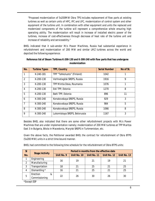*"Proposed modernization of 5x200MW Obra TPS includes replacement of flow parts at existing turbines as well as certain units of HPC, IPC and LPC, modernization of control system and other equipment of the turbine unit. In combination with other equipment and units the replaced and modernized components of the turbine will represent a comprehensive whole ensuring high operating ability. The modernization will result in increase of installed electric power of the turbines, increase of cost-effectiveness through decrease of heat rate of the turbine unit and increase of reliability and serviceability."*

BHEL indicated that it sub-vendor M/s Power Machines, Russia had substantial experience in refurbishment and modernization of 200 MW and similar LMZ turbines across the world and depicted the following experience:

| No.            | <b>Turbine Types</b> | <b>TPP, Country</b>           | <b>Serial Number</b> | No of St. |
|----------------|----------------------|-------------------------------|----------------------|-----------|
|                | K-240-181            | TPP "Tahkoluoto" (Finland)    | 1042                 |           |
| $\overline{2}$ | K-200-130            | Verhnetagilsk SREPS, Russia   | 1916                 | 9         |
| 3              | $K-200-130$          | TPP Mintia Deva, Roumania     | 1076                 | 1         |
| $\overline{4}$ | K-200-130            | Esti TPP, Estonia             | 1270                 | 8         |
| 5              | K-200-130            | Balti TPP, Estonia            | 896                  | 11        |
| 6              | $K-300-240$          | Konakovskaya SREPS, Russia    | 929                  | 3         |
| $\overline{7}$ | $K-300-240$          | Konakovskaya SREPS, Russia    | 984                  | 5         |
| 8              | $K-300-240$          | Konakovskaya SREPS, Russia    | 1066                 | 8         |
| 9              | $K-300-240$          | Lukomiskaya SREPS, Belorussia | 1167                 | 3         |

# **Reference list of Steam Turbines K-200-130 and K-300-240 with flow parts that has undergone modernization**

Besides BHEL also indicated that there are some other refurbishment projects with M/s Power Machines that are under implementation namely; modernization of 200 MW turbines at TPP Maritza East 3 in Bulgaria, Bitola in Macedonia, Maryisk SREPS in Turkmenistan, etc.

Given the above facts, the Petitioner awarded BHEL the contract for refurbishment of Obra BTPS (5x200 MW) units in a strict time-bound manner.

BHEL had committed to the following time schedule for the refurbishment of Obra BTPS units:

| SI  | <b>Stage/Activity</b>                                |            | Period in months from the effective date |             |             |             |  |  |  |
|-----|------------------------------------------------------|------------|------------------------------------------|-------------|-------------|-------------|--|--|--|
| No. |                                                      | Unit No. 9 | Unit No. 10                              | Unit No. 11 | Unit No. 12 | Unit No. 13 |  |  |  |
|     | Engineering                                          | 16         | 19                                       | 21          | 19          | 21          |  |  |  |
|     | Manufacturing                                        |            |                                          |             |             |             |  |  |  |
| 3   | Transportation                                       | 18         | 21                                       | 25          | 21          | 25          |  |  |  |
| 4   | Dismantling *                                        | 16         | 21                                       | 25          | 21          | 25          |  |  |  |
| 5   | Erection<br>&                                        | 22         | 26                                       | 30          | 26          | 30          |  |  |  |
|     | Commissioning                                        |            |                                          |             |             |             |  |  |  |
|     | $*É$ $\times$ $\sim$ $\sim$ $+$ $\sim$ $\sim$ $\sim$ |            |                                          |             |             |             |  |  |  |

\*Except ESP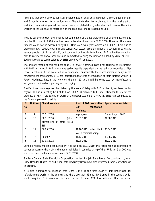*"The unit shut down allowed for R&M implementation shall be a maximum 7 months for first unit and 6 months intervals for other four units. The activity shall be so planned that the total erection and final commissioning of all the five units are completed during scheduled shut down of the units. Erection of the ESP shall be matched with the erection of the corresponding unit."*

Thus as per the contract the timeline for completion of the Refurbishment of all the units were 30 months. Unit No. 9 of 200 MW has been under shut-down since 02.11.2008. However, the above timeline could not be adhered to by BHEL. Unit No. 9 was synchronized on 17.09.2010 but due to problem in R.C. feeders, coal mills and various C&I system problem in hot air / suction air gates and serious problem of high axial shift, unit could not be brought to full load. BHEL submitted an action plan to rectify the above problems and committed to bring the unit on full load by 28th Feb 2011. Such unit could be commissioned by BHEL only by  $27<sup>th</sup>$  June 2011.

The primary reason of this has been that M/s Power Machines, Russia has terminated its contract with BHEL. As a result BHEL which was earlier heavily dependent on the technical expertise of M/s Power Machines, Russia were left in a quandary. Consequently there was immense delay in the refurbishment programme. BHEL has indicated that after the termination of their contract with M/s. Power Machines, Russia, the work on the unit 10 to 13 will be completed by manufacturing indigenous turbines by importing turbine forgings.

The Petitioner's management had taken up the issue of delay with BHEL at the highest level. In this regard BHEL in a meeting held at CEA on 18.8.2010 between BHEL and Petitioner to review the progress of R&M / Life Extension works at the power stations of UPRVUNL. BHEL had committed to the following revised schedule:

| - SI<br>No.   | Unit No. | Shut down date            | Start of E&C work after<br>foundation<br><b>ESP</b> | <b>Synchronisation date</b> |
|---------------|----------|---------------------------|-----------------------------------------------------|-----------------------------|
|               |          |                           | readiness                                           |                             |
|               | 9        | 02.11.2008                | In progress                                         | End of August 2010          |
| $\mathcal{P}$ | 10       | 30.11.2010<br>(after      | 28.02.2011                                          | 31.08.2011                  |
|               |          | dismantling of Unit No.11 |                                                     |                             |
|               |          | ESP)                      |                                                     |                             |
| 3             | 11       | 30.09.2010                | 31.10.2011<br>(after Unit                           | 30.04.2012                  |
|               |          |                           | No.10 commissioning)                                |                             |
| 4             | 12       | 30.09.2011                | 31.12.2011                                          | 30.06.2012                  |
| 5             | 13       | 31.05.2012                | 31.08.2012                                          | 28.02.2013                  |

During a review meeting conducted by MoP held on 18.11.2010, the Petitioner had expressed its serious concern to the MoP in the abnormal delay in commissioning of their Unit No. 9 of 200 MW which has been under shut-down since 02.11.2008

Similarly Gujarat State Electricity Corporation Limited, Punjab State Power Corporation Ltd, Kanti Bijlee Utpadan Nigam Ltd and Bihar State Electricity Board have also expressed their reservations in this regard.

It is also significant to mention that Obra Unit-9 is the first 200MW unit undertaken for refurbishment works in the country and there are such 66 nos., LMZ units in the country which would require LE intervention in due course of time. CEA has indicated that successful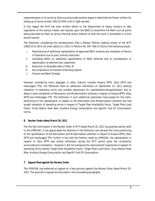implementation of LE works at Obra would provide positive signal to State/Central Power utilities for taking up LE works at their 200/210 MW units in right earnest.

In this regard the MoP has even written letters to the Department of Heavy Industry to take cognizance of this serious matter and impress upon the BHEL to streamline the R&M-cum-LE works being executed by them at various thermal power stations so that the work is completed in a time bound manner.

The Petitioner considering the developments filed a Review Petition seeking review of the MYT (2009-10 to 2013-14) order dated 21.1.2011 in Petition No. 647- 656 of 2010 on the following issues:

- i. Rescheduling of additional capitalization of approved R&M schemes and relaxation of Norms of Operation due to poor contract execution.
- ii. Cascading effect on additional capitalization of R&M Schemes due to consideration of depreciation as deemed loan repayment.
- iii. Reduction of allowable debt of Obra 'B'.
- iv. Re-computation of Interest of Working Capital
- v. Finance and Bank Charges.

However considering more slippages in other stations (namely Anpara BTPS, Obra APTS and Harduaganj TPS), the Petitioner filed an additional submission on September 22, 2011 seeking relaxation in operating norms and suitable adjustment for capitalization/decapitalisation due to delay in start/completion of Renovation and Modernisation schemes in respect of Anpara BTPS, Obra APTS and Harduaganj TPS. The Petitioner in such additional submission had prayed for the transpositioning of the capitalization in respect of the Renovation and Modernisation schemes and had sought relaxation of operating norms in respect of Target Plant Availability Factor, Target Plant Load Factor, Gross Station Heat Rate, Auxiliary Energy Consumption and Specific Fuel Oil Consumption norms.

# **6. Review Order dated March 20, 2012**

The Hon'ble Commission in the Review Order of MYT dated March 20, 2012 has granted partial relief to the UPRVUNL. It has appreciated the dilemma of the Petitioner and allowed the trans-positioning of the capitalisation of the Renovation and Modernisation schemes in respect of Anpara BTPS, Obra APTS and Harduaganj TPS. Further in line with the Petition made by UPRVUNL, the capitalization in respect of Obra BTPS was wholly withdrawn during the MYT period given the uncertainty surrounding its completion. However it did not transpose the improvement trajectories in respect of operating norms namely Target Plant Availability Factor, Target Plant Load Factor, Gross Station Heat Rate, Auxiliary Energy Consumption and Specific Fuel Oil Consumption.

# **7. Appeal filed against the Review Order**

The UPRVUNL has preferred an appeal on a few grounds against the Review Order dated March 20, 2012. The grounds of appeal are discussed in the succeeding paragraphs.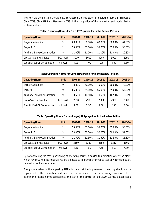The Hon'ble Commission should have considered the relaxation in operating norms in respect of Obra ATPS, Obra BTPS and Harduaganj TPS till the completion of the renovation and modernization at these stations.

| <b>Operating Norm</b>               | <b>Unit</b> | 2009-10 | 2010-11 | 2011-12 | 2012-13 | 2013-14 |
|-------------------------------------|-------------|---------|---------|---------|---------|---------|
| <b>Target Availability</b>          | $\%$        | 60.00%  | 60.00%  | 60.00%  | 60.00%  | 61.00%  |
| <b>Target PLF</b>                   | $\%$        | 55.00%  | 55.00%  | 55.00%  | 55.00%  | 56.00%  |
| <b>Auxiliary Energy Consumption</b> | %           | 11.00%  | 11.00%  | 11.00%  | 11.00%  | 10.80%  |
| <b>Gross Station Heat Rate</b>      | kCal/kWh    | 3000    | 3000    | 3000    | 3000    | 2990    |
| Specific Fuel Oil Consumption       | ml/kWh      | 4.00    | 4.00    | 4.00    | 4.00    | 3.80    |

**Table: Operating Norms for Obra ATPS prayed for in the Review Petition.**

# **Table: Operating Norms for Obra BTPS prayed for in the Review Petition.**

| <b>Operating Norm</b>               | Unit     | 2009-10 | 2010-11 | 2011-12 | 2012-13 | 2013-14 |
|-------------------------------------|----------|---------|---------|---------|---------|---------|
| <b>Target Availability</b>          | %        | 70.00%  | 70.00%  | 70.00%  | 70.00%  | 70.00%  |
| <b>Target PLF</b>                   | %        | 65.00%  | 65.00%  | 65.00%  | 65.00%  | 65.00%  |
| <b>Auxiliary Energy Consumption</b> | %        | 10.50%  | 10.50%  | 10.50%  | 10.50%  | 10.50%  |
| <b>Gross Station Heat Rate</b>      | kCal/kWh | 2900    | 2900    | 2900    | 2900    | 2900    |
| Specific Fuel Oil Consumption       | ml/kWh   | 2.50    | 2.50    | 2.50    | 2.50    | 2.50    |

# **Table: Operating Norms for Harduaganj TPS prayed for in the Review Petition.**

| <b>Operating Norm</b>               | <b>Unit</b> | 2009-10 | 2010-11 | 2011-12 | 2012-13 | 2013-14 |
|-------------------------------------|-------------|---------|---------|---------|---------|---------|
| <b>Target Availability</b>          | %           | 55.00%  | 55.00%  | 55.00%  | 55.00%  | 56.00%  |
| <b>Target PLF</b>                   | %           | 50.00%  | 50.00%  | 50.00%  | 50.00%  | 51.00%  |
| <b>Auxiliary Energy Consumption</b> | %           | 11.50%  | 11.50%  | 11.50%  | 11.50%  | 11.30%  |
| <b>Gross Station Heat Rate</b>      | kCal/kWh    | 3350    | 3350    | 3350    | 3350    | 3300    |
| Specific Fuel Oil Consumption       | ml/kWh      | 4.50    | 4.50    | 4.50    | 4.50    | 4.30    |

By not approving the trans-positioning of operating norms, it has led to a situation where the plants which have outlived their useful lives are expected to improve performance year on year without any renovation and modernisation.

The grounds raised in the appeal by UPRVUNL are that the improvement trajectory should not be applied unless the renovation and modernization is completed at these vintage stations. Till the interim the relaxed norms applicable at the start of the control period (2009-10) may be applicable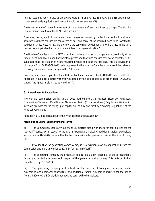for such stations. (Only in case of Obra ATPS, Obra BTPS and Harduaganj. At Anpara BTPS benchmark norms are already applicable and hence it would not get any benefit)

The other ground of appeal is in respect of the allowance of bank and finance charges. The Hon'ble Commission in Para 8-A of the MYT Order has stated:

*"However, the payment of finance and bank charges as claimed by the Petitioner will not be allowed separately as these charges are considered as part and parcel of the acquired loans to be invested for addition of Gross Fixed Assets and therefore the same shall be claimed as Fixed Charges in the same manner as is applicable for the recovery of interest during construction."*

The Hon'ble Commission in the MYT order has construed that such charges are incurred only at the time of debt mobilization and has therefore prescribed that such charges have to be capitalized. It is submitted that the Petitioner incurs recurring finance and bank charges also. This is a deviation of philosophy from FY 2008-09 tariff order approved by the Hon'ble Commission wherein it had allowed recurring finance and bank charges to the Petitioner.

However, later on an application for withdrawal of the appeal was filed by UPRVUNL and the Hon'ble Appellate Tribunal for Electricity thereby disposed off the said appeal in its order dated 17.05.2013 stating *"the Appeal is dismissed as withdrawn".*

# **8. Amendment to Regulations**

The Hon'ble Commission on March 20, 2012 notified the Uttar Pradesh Electricity Regulatory Commission (Terms and Conditions of Generation Tariff) (First Amendment) Regulations 2012 which inter-alia provided for the truing up of capital expenditure and tariff by amending Regulation 5 of the Principal Regulations.

Regulation 5 (5) has been added to the Principal Regulations as below:

# *"Truing up of Capital Expenditure and Tariff:*

*(i) The Commission shall carry out truing up exercise along with the tariff petition filed for the next tariff period, with respect to the capital expenditure including additional capital expenditure incurred up to 31-3-2014, as admitted by the Commission after prudence check at the time of truing up:*

*Provided that the generating company may in its discretion make an application before the Commission one more time prior to 2013-14 for revision of tariff.*

*(ii) The generating company shall make an application, as per Appendix I to these regulations,*  for carrying out truing up exercise in respect of the generating station or any of its units or block of *units thereof by 31-10-2014.*

*(iii) The generating company shall submit for the purpose of truing up, details of capital expenditure and additional expenditure and additional capital expenditure incurred for the period from 1-4-2009 to 31-3-2014, duly audited and certified by the auditors.*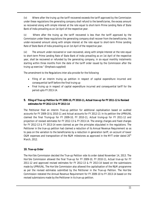*(iv) Where after the truing up the tariff recovered exceeds the tariff approved by the Commission under these regulations the generating company shall refund to the beneficiaries, the excess amount so recovered along with simple interest at the rate equal to short-term Prime Lending Rate of State Bank of India prevailing as on 1st April of the respective year.*

*(v) Where after the truing up the tariff recovered is less than the tariff approved by the Commission under these regulations the generating company shall recover from the beneficiaries, the under-recovered amount along with simple interest at the rate equal to short-term Prime Lending Rate of State Bank of India prevailing as on 1st April of the respective year.*

*(vi) The amount under-recovered or over-recovered, along with simple Interest at the rate equal*  to short-term Prime Lending Rate of State Bank of India prevailing as on 1st April of the respective *year, shall be recovered or refunded by the generating company, in six equal monthly instalments starting within three months from the date of the tariff order issued by the Commission after the truing up exercise." (Emphasis supplied)*

The amendment to the Regulations inter-alia provide for the following:

- Filing of an interim truing up petition in respect of capital expenditure incurred and consequential tariff before the final truing up
- Final truing up in respect of capital expenditure incurred and consequential tariff for the period upto FY 2013-14.

# **9. Filing of True-up Petition for FY 2009-10, FY 2010-11, Actual true-up for FY 2011-12 & Revised estimates for FY 2012-13 & FY 2013-14**

The Petitioner filed an interim True-up petition for additional capitalisation based on audited accounts for FY 2009-10 & 2010-11 and Actual accounts for FY 2012-13. In its petition the UPRVUNL claimed the final Truing-up for FY 2009-10, FY 2010-11, Actual truing-up for FY 2011-12 and projection of revised estimates for FY 2012-13 & FY 2013-14. The energy charges and fixed charges for FY 2012-13 & FY 2013-14 were claimed as per the principles stipulated in the regulations. The Petitioner in the true-up petition had claimed a reduction of its Annual Revenue Requirement so as to pass on the variation to the beneficiaries by a reduction in generation tariff, on account of lower O&M expenses and transposition of the R&M milestones as approved in the MYT order dated 20<sup>th</sup> March, 2012.

# **10. True-up Order**

The Hon'ble Commission decided the True-up Petition vide its order dated November 14, 2013. The Hon'ble Commission allowed the final True-up for FY 2009-10, FY 2010-11, Actual true-up for FY 2011-12 and approved revised estimates for FY 2012-13 & FY 2013-14 based on the submissions made by UPRVUNL. The Hon'ble Commission also allowed the capitalisation of the R&M programme as per the revised estimates submitted by the Petitioner in the True-up Petition. The Hon'ble Commission restated the Annual Revenue Requirement for FY 2009-10 to FY 2013-14 based on the revised submissions made by the Petitioner in its true-up petition.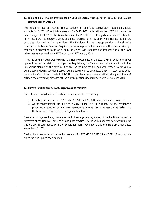# **11. Filing of Final True-up Petition for FY 2011-12, Actual true-up for FY 2012-13 and Revised estimates for FY 2013-14**

The Petitioner filed an interim True-up petition for additional capitalisation based on audited accounts for FY 2011-12 and Actual accounts for FY 2012-13. In its petition the UPRVUNL claimed the final Truing-up for FY 2011-12, Actual truing-up for FY 2012-13 and projection of revised estimates for FY 2013-14. The energy charges and fixed charges for FY 2013-14 were claimed as per the principles stipulated in the regulations. The Petitioner in the true-up petition had claimed a reduction of its Annual Revenue Requirement so as to pass on the variation to the beneficiaries by a reduction in generation tariff, on account of lower O&M expenses and transposition of the R&M milestones as approved in the MYT order dated  $20<sup>th</sup>$  March, 2012.

A hearing on this matter was held with the Hon'ble Commission on 22.07.2014 in which the UPPCL opposed the petition stating that as per the Regulations, the Commission shall carry out the truingup exercise along-with the tariff petition file for the next tariff period with respect to the capital expenditure including additional capital expenditure incurred upto 31.03.2014. In response to which the Hon'ble Commission directed UPRVUNL to the file a fresh true-up petition along with the MYT petition and accordingly disposed off the current petition vide its Order dated 21<sup>st</sup> August, 2014.

# **12. Current Petition and its need, objectives and features**

This petition is being filed by the Petitioner in respect of the following:

- 1. Final True-up petition for FY 2011-12, 2012-13 and 2013-14 based on audited accounts
- 2. As the consequential true-up up to FY 2012-13 and FY 2013-14 is negative, the Petitioner is proposing a reduction of its Annual Revenue Requirement so as to pass on the variation to the beneficiaries by a reduction in generation tariff.

The current filings are being made in respect of each generating station of the Petitioner as per the directives of the Hon'ble Commission and past practice. The principles adopted for computing the true up are in accordance with the Generation Tariff Regulations and the True up Order dated November 14, 2013.

The Petitioner has enclosed the audited accounts for FY 2011-12, 2012-13 and 2013-14, on the basis which the true-up has been claimed.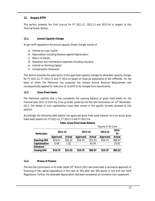# **13. Anpara ATPS**

This section presents the final true-up for FY 2011-12, 2012-13 and 2013-14 in respect of this Thermal Power Station.

# **13.1. Annual Capacity Charges**

As per tariff regulations the annual capacity (fixed) charges consist of

- a) Interest on Loan Capital
- b) Depreciation including Advance against Depreciation
- c) Return on Equity
- d) Operation and maintenance expenses including insurance
- e) Interest on Working Capital
- f) Compensation Allowance

This section provides the description of the approved capacity charges Vs allowable capacity charges for FY 2011-12, FY 2012-13 and FY 2013-14 based on financial statements of the UPRVUNL. On the basis of which the Petitioner has proposed the revised Annual Revenue Requirement and consequentially applied for reduction of its tariff to be charged from beneficiaries.

# **13.2. Gross Fixed Assets**

The Petitioner submits that it has considered the opening balance of gross fixed assets for the financial year 2011-12 from the True-up Order issued by the Hon'ble Commission on  $14<sup>th</sup>$  November, 2013. The details of such capitalization have been shown in the specific formats annexed to this petition.

Accordingly the following table depicts the approved gross fixed asset balance vis-à-vis actual gross fixed asset balance for FY 2011-12, FY 2012-13 and FY 2013-14:

|                    |          |        |                 |                          | Figures in Rs Crore      |                          |
|--------------------|----------|--------|-----------------|--------------------------|--------------------------|--------------------------|
| <b>Particulars</b> | 2011-12  |        | 2012-13         |                          | 2013-14                  | $2013 -$<br>14           |
|                    | Approved | Actual | <b>Approved</b> | Actual                   | <b>Approved</b>          | Actual                   |
| <b>Opening GFA</b> | 819.22   | 819.22 | 819.70          | 821.03                   | 819.70                   | 866.07                   |
| Capitalisation     | 0.48     | 1.81   | ۰               | 45.04                    | $\overline{\phantom{a}}$ | 19.55                    |
| <b>Deletions</b>   |          | ۰      |                 | $\overline{\phantom{a}}$ |                          | $\overline{\phantom{a}}$ |
| <b>Closing GFA</b> | 819.70   | 821.03 | 819.70          | 866.07                   | 819.70                   | 885.62                   |

# **Table: Gross Fixed Asset Balance**

# **13.3. Means of Finance**

The Hon'ble Commission in its order dated 20<sup>th</sup> March 2012 had prescribed a normative approach of financing of the capital expenditure in the ratio of 70% debt and 30% equity in line with the Tariff Regulations. Further the allowable depreciation had been considered as normative loan repayment.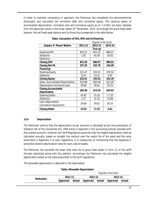In order to maintain consistency in approach, the Petitioner has considered the aforementioned philosophy and calculated the normative debt and normative equity. The opening values of accumulated depreciation, normative loan and normative equity as on 1.4.2011 has been adopted from the approved values in the order dated  $14<sup>th</sup>$  November, 2013. Accordingly the gross fixed asset balance, the net fixed asset balance and its financing is presented in the table below:

|                                 |         | <b>Figures in Rs Crore</b> |         |  |
|---------------------------------|---------|----------------------------|---------|--|
| <b>Anpara 'A' Power Station</b> | 2011-12 | 2012-13                    | 2013-14 |  |
|                                 |         | True up                    |         |  |
| <b>Opening GFA</b>              | 819.22  | 821.03                     | 866.07  |  |
| Additions                       | 1.81    | 45.04                      | 19.55   |  |
| Deletions                       |         |                            |         |  |
| <b>Closing GFA</b>              | 821.03  | 866.07                     | 885.62  |  |
| <b>Closing Net FA</b>           | 237.55  | 252.78                     | 242.00  |  |
| Financing:                      |         |                            |         |  |
| <b>Opening Equity</b>           | 221.47  | 222.01                     | 235.52  |  |
| Additions                       | 0.54    | 13.51                      | 5.87    |  |
| <b>Closing Equity</b>           | 222.01  | 235.52                     | 241.39  |  |
| Open. Accumulated Depreciation  | 553.88  | 583.48                     | 613.29  |  |
| Depreciation during the year    | 29.60   | 29.81                      | 30.33   |  |
| <b>Closing Accumulated</b>      | 583.48  | 613.29                     | 643.62  |  |
| Depreciation                    |         |                            |         |  |
| <b>Opening Debts</b>            | 43.87   | 15.53                      | 17.25   |  |
| Additions                       | 1.27    | 31.53                      | 13.69   |  |
| Less: Depreciation              | 29.60   | 29.81                      | 30.33   |  |
| (normative repayment)           |         |                            |         |  |
| <b>Closing Debts</b>            | 15.53   | 17.25                      | 0.61    |  |

# **Table: Calculation of GFA, NFA and its financing**

# **13.4. Depreciation**

The Petitioner submits that the depreciation as per accounts is calculated as per the prescription of Schedule XIV of the Companies Act, 1956 which is depicted in the accounting policies annexed with the audited accounts. However the Tariff Regulations prescribe that the eligible depreciation shall be calculated annually, based on straight line method over the useful life of the asset and the rates prescribed in Appendix II of such regulations. It is noteworthy of mentioning that the Appendix II prescribes distinct depreciation rates for each class of assets.

The Petitioner has provided the asset class wise list of gross fixed assets in Form 12 of the tariff formats submitted along with this petition. Accordingly the Petitioner has calculated the eligible depreciation based on the rates prescribed in the tariff regulations.

The allowable depreciation is depicted in the table below:

# **Table: Allowable Depreciation**

|                    |          |        | <b>Figures in Rs Crore</b> |  |         |        |
|--------------------|----------|--------|----------------------------|--|---------|--------|
| <b>Particulars</b> | 2011-12  |        | 2012-13                    |  | 2013-14 |        |
|                    | Approved | Actual | Approved Actual Approved   |  |         | Actual |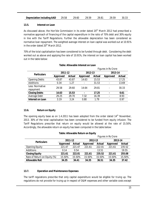| <b>Depreciation including AAD</b> 29.58 29.60 29.59 29.81 29.59 |  |  | 30.33 |
|-----------------------------------------------------------------|--|--|-------|
|                                                                 |  |  |       |

#### **13.5. Interest on Loan**

As discussed above, the Hon'ble Commission in its order dated  $20<sup>th</sup>$  March 2012 had prescribed a normative approach of financing of the capital expenditure in the ratio of 70% debt and 30% equity in line with the Tariff Regulations. Further the allowable depreciation has been considered as normative loan repayment. The weighted average interest on loan capital was worked out at 10.91% in the order dated 20<sup>th</sup> March 2012.

70% of the total capitalisation has been considered to be funded through debt. Considering the debt worked out as above and applying the rate of 10.91%, the interest on loan capital has been worked out in the table below:

|                              |                 |        | Figures in Rs Crore |        |                 |        |  |
|------------------------------|-----------------|--------|---------------------|--------|-----------------|--------|--|
| <b>Particulars</b>           | 2011-12         |        | 2012-13             |        | 2013-14         |        |  |
|                              | <b>Approved</b> | Actual | Approved            | Actual | <b>Approved</b> | Actual |  |
| <b>Opening Debts</b>         | 43.87           | 43.87  | 14.63               | 15.53  |                 | 17.25  |  |
| Additions                    | 0.34            | 1.27   | ٠                   | 31.53  |                 | 13.69  |  |
| Less: Normative<br>repayment | 29.58           | 29.60  | 14.64               | 29.81  |                 | 30.33  |  |
| <b>Closing Debts</b>         | 14.63           | 15.53  | ٠                   | 17.25  |                 | 0.61   |  |
| Average Debt                 | 29.25           | 29.70  | 7.32                | 16.39  |                 | 8.93   |  |
| <b>Interest on Loan</b>      | 3.19            | 3.24   | 0.80                | 1.79   |                 | 0.97   |  |

# **Table: Allowable Interest on Loan**

# **13.6. Return on Equity**

The opening equity base as on 1.4.2011 has been adopted from the order dated  $14<sup>th</sup>$  November, 2013. 30% of the total capitalisation has been considered to be funded from equity infusion. The Tariff Regulations prescribe that return on equity would be allowed at the rate of 15.50%. Accordingly, the allowable return on equity has been computed in the table below:

| Table: Allowable Return on Equity |         |
|-----------------------------------|---------|
|                                   | $F_{i}$ |

|                              |          |        | <b>Figures in Rs Crore</b> |               |          |               |  |  |
|------------------------------|----------|--------|----------------------------|---------------|----------|---------------|--|--|
| <b>Particulars</b>           | 2011-12  |        | 2012-13                    |               | 2013-14  |               |  |  |
|                              | Approved | Actual | Approved                   | <b>Actual</b> | Approved | <b>Actual</b> |  |  |
| <b>Opening Equity</b>        | 221.47   | 221.47 | 221.61                     | 222.01        | 221.61   | 235.52        |  |  |
| Additions                    | 0.14     | 0.54   |                            | 13.51         |          | 19.55         |  |  |
| <b>Closing Equity</b>        | 221.61   | 222.01 | 221.61                     | 235.52        | 221.61   | 255.08        |  |  |
| Rate of Return on Equity (%) | 15.50%   | 15.50% | 15.50%                     | 15.50%        | 15.50%   | 15.50%        |  |  |
| <b>Allowable RoE</b>         | 34.35    | 34.41  | 34.35                      | 36.51         | 34.35    | 37.42         |  |  |

# **13.7. Operation and Maintenance Expenses**

The tariff regulations prescribe that only capital expenditure would be eligible for truing up. The regulations do not provide for truing up in respect of O&M expenses and other variable costs except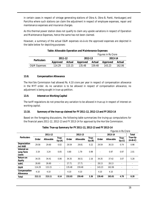in certain cases in respect of vintage generating stations of Obra A, Obra B, Panki, Harduaganj and Parichha where such stations can claim the adjustment in respect of employee expenses, repair and maintenance expenses and insurance charges.

As this thermal power station does not qualify to claim any upside variations in respect of Operation and Maintenance Expenses, hence the same has not been claimed.

However, a summary of the actual O&M expenses vis-à-vis the approved expenses are depicted in the table below for depicting purposes:

|                         |          |        | <b>Figures in Rs Crore</b> |        |          |        |  |  |  |
|-------------------------|----------|--------|----------------------------|--------|----------|--------|--|--|--|
| <b>Particulars</b>      | 2011-12  |        | 2012-13                    |        | 2013-14  |        |  |  |  |
|                         | Approved | Actual | Approved                   | Actual | Approved | Actual |  |  |  |
| <b>O&amp;M Expenses</b> | 114.29   | 115.15 | 135 48                     | 159 48 | 143.23   | 162.06 |  |  |  |

# **Table: Allowable Operation and Maintenance Expenses**

# **13.8. Compensation Allowance**

The Hon'ble Commission had allowed Rs. 4.10 crore per year in respect of compensation allowance in the MYT order. As no variation is to be allowed in respect of compensation allowance, no adjustment is being sought in true-up petition.

# **13.9. Interest on Working Capital**

The tariff regulations do not prescribe any variation to be allowed in true-up in respect of interest on working capital.

# **13.10. Summary of the true-up claimed for FY 2011-12, 2012-13 and FY 2013-14**

Based on the foregoing discussions, the following table summarizes the truing-up computations for the financial years 2011-12, 2012-13 and FY 2013-14 for approval by the Hon'ble Commission.

|                                   |        |                  |                          |        |                  |                          |        | <b>Figures in Rs Crore</b> |                          |                      |  |
|-----------------------------------|--------|------------------|--------------------------|--------|------------------|--------------------------|--------|----------------------------|--------------------------|----------------------|--|
|                                   |        | 2011-12          |                          |        | 2012-13          |                          |        | 2013-14                    |                          | <b>Total</b>         |  |
| <b>Particulars</b>                | Order  | <b>Allowable</b> | True-<br>Up(A)           | Order  | <b>Allowable</b> | True-<br>Up(B)           | Order  | Allowable                  | True-<br>Up(G)           | True-Up<br>$(A+B+C)$ |  |
| Depreciation<br>incl AAD          | 29.58  | 29.60            | 0.02                     | 29.59  | 29.81            | 0.22                     | 29.59  | 30.33                      | 0.74                     | 0.98                 |  |
| Interest on<br>Long Term<br>Loans | 3.19   | 3.24             | 0.05                     | 0.80   | 1.79             | 0.99                     |        | 0.97                       | 0.97                     | 2.01                 |  |
| Return on<br><b>Equity</b>        | 34.35  | 34.41            | 0.06                     | 34.35  | 36.51            | 2.16                     | 34.35  | 37.42                      | 3.07                     | 5.28                 |  |
| <b>IoWC</b>                       | 26.60  | 26.60            | $\overline{\phantom{a}}$ | 27.71  | 27.71            | ۰                        | 28.13  | 28.13                      | ٠                        |                      |  |
| 0&M                               | 114.29 | 115.15           | $\overline{\phantom{a}}$ | 135.48 | 159.48           | $\overline{\phantom{a}}$ | 143.23 | 162.06                     | $\overline{\phantom{a}}$ |                      |  |
| Compensation<br><b>Allowance</b>  | 4.10   | 4.10             | $\overline{\phantom{a}}$ | 4.10   | 4.10             | $\overline{\phantom{a}}$ | 4.10   | 4.10                       | ٠                        |                      |  |
| <b>Total</b>                      | 212.11 | 213.11           | 0.14                     | 232.03 | 259.40           | 3.36                     | 239.40 | 263.01                     | 4.78                     | 8.28                 |  |

#### **Table: True-up Summary for FY 2011-12, 2012-13 and FY 2013-14**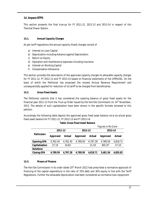# **14. Anpara BTPS**

This section presents the final true-up for FY 2011-12, 2012-13 and 2013-14 in respect of this Thermal Power Station.

# **14.1. Annual Capacity Charges**

As per tariff regulations the annual capacity (fixed) charges consist of

- a) Interest on Loan Capital
- b) Depreciation including Advance against Depreciation
- c) Return on Equity
- d) Operation and maintenance expenses including insurance
- e) Interest on Working Capital
- f) Compensation Allowance

This section provides the description of the approved capacity charges Vs allowable capacity charges for FY 2011-12, FY 2012-13 and FY 2013-14 based on financial statements of the UPRVUNL. On the basis of which the Petitioner has proposed the revised Annual Revenue Requirement and consequentially applied for reduction of its tariff to be charged from beneficiaries.

#### **14.2. Gross Fixed Assets**

The Petitioner submits that it has considered the opening balance of gross fixed assets for the financial year 2011-12 from the True-up Order issued by the Hon'ble Commission on  $14<sup>th</sup>$  November, 2013. The details of such capitalization have been shown in the specific formats annexed to this petition.

Accordingly the following table depicts the approved gross fixed asset balance vis-à-vis actual gross fixed asset balance for FY 2011-12, FY 2012-13 and FY 2013-14:

|                    |                      |          | Figures in Rs Crore |          |          |          |  |  |
|--------------------|----------------------|----------|---------------------|----------|----------|----------|--|--|
|                    | 2011-12              |          | 2012-13             |          | 2013-14  |          |  |  |
| <b>Particulars</b> | Approved             | Actual   | Approved            | Actual   | Approved | Actual   |  |  |
| <b>Opening GFA</b> | 4,762.45<br>4,762.45 |          | 4,789.59            | 4,797.28 | 4,789.59 | 4,818.71 |  |  |
| Capitalisation     | 27.14                | 34.83    |                     | 21.43    | 691.97   | 37.10    |  |  |
| <b>Deletions</b>   |                      |          |                     |          |          |          |  |  |
| <b>Closing GFA</b> | 4,789.59             | 4,797.28 | 4,789.59            | 4,818.71 | 5,481.56 | 4,855.82 |  |  |

#### **14.3. Means of Finance**

The Hon'ble Commission in its order dated 20<sup>th</sup> March 2012 had prescribed a normative approach of financing of the capital expenditure in the ratio of 70% debt and 30% equity in line with the Tariff Regulations. Further the allowable depreciation had been considered as normative loan repayment.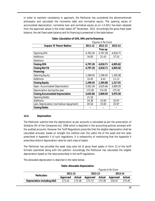In order to maintain consistency in approach, the Petitioner has considered the aforementioned philosophy and calculated the normative debt and normative equity. The opening values of accumulated depreciation, normative loan and normative equity as on 1.4.2011 has been adopted from the approved values in the order dated  $14<sup>th</sup>$  November, 2013. Accordingly the gross fixed asset balance, the net fixed asset balance and its financing is presented in the table below:

|                                          | <b>Figures in Rs Crore</b> |          |          |  |  |  |  |
|------------------------------------------|----------------------------|----------|----------|--|--|--|--|
| <b>Anpara 'B' Power Station</b>          | 2011-12                    | 2012-13  | 2013-14  |  |  |  |  |
|                                          |                            | True up  |          |  |  |  |  |
| Opening GFA                              | 4,762.45                   | 4,797.28 | 4,818.71 |  |  |  |  |
| Additions                                | 34.83                      | 21.43    | 37.10    |  |  |  |  |
| Deletions                                |                            |          |          |  |  |  |  |
| <b>Closing GFA</b>                       | 4,797.28                   | 4,818.71 | 4,855.82 |  |  |  |  |
| <b>Closing Net FA</b>                    | 4,797.28                   | 4,818.71 | 4,855.82 |  |  |  |  |
| Financing:                               |                            |          |          |  |  |  |  |
| <b>Opening Equity</b>                    | 1,289.00                   | 1,299.45 | 1,305.88 |  |  |  |  |
| Additions                                | 10.45                      | 6.43     | 11.13    |  |  |  |  |
| <b>Closing Equity</b>                    | 1,299.45                   | 1,305.88 | 1,317.01 |  |  |  |  |
| Open. Accumulated Depreciation           | 3,452.28                   | 3,625.66 | 3,800.05 |  |  |  |  |
| Depreciation during the year             | 173.38                     | 174.39   | 175.45   |  |  |  |  |
| <b>Closing Accumulated Depreciation</b>  | 3,625.66                   | 3,800.05 | 3,975.50 |  |  |  |  |
| <b>Opening Debts</b>                     | 21.16                      |          |          |  |  |  |  |
| Additions                                | 24.38                      | 15.00    | 25.97    |  |  |  |  |
| Less: Depreciation (normative repayment) | 45.54                      | 15.00    | 25.97    |  |  |  |  |
| <b>Closing Debts</b>                     |                            |          |          |  |  |  |  |

# **Table: Calculation of GFA, NFA and its financing**

# **14.4. Depreciation**

The Petitioner submits that the depreciation as per accounts is calculated as per the prescription of Schedule XIV of the Companies Act, 1956 which is depicted in the accounting policies annexed with the audited accounts. However the Tariff Regulations prescribe that the eligible depreciation shall be calculated annually, based on straight line method over the useful life of the asset and the rates prescribed in Appendix II of such regulations. It is noteworthy of mentioning that the Appendix II prescribes distinct depreciation rates for each class of assets.

The Petitioner has provided the asset class wise list of gross fixed assets in Form 12 of the tariff formats submitted along with this petition. Accordingly the Petitioner has calculated the eligible depreciation based on the rates prescribed in the tariff regulations.

The allowable depreciation is depicted in the table below:

| Table: Allowable Depreciation     |                            |        |          |        |          |               |  |  |  |
|-----------------------------------|----------------------------|--------|----------|--------|----------|---------------|--|--|--|
|                                   | <b>Figures in Rs Crore</b> |        |          |        |          |               |  |  |  |
| <b>Particulars</b>                | 2011-12                    |        | 2012-13  |        | 2013-14  |               |  |  |  |
|                                   | Approved                   | Actual | Approved | Actual | Approved | <b>Actual</b> |  |  |  |
| <b>Depreciation including AAD</b> | 173.24                     | 173.38 | 173.73   | 174.39 | 216.07   | 175.45        |  |  |  |

#### **Table: Allowable Depreciation**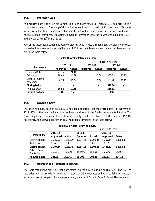#### **14.5. Interest on Loan**

As discussed above, the Hon'ble Commission in its order dated  $20<sup>th</sup>$  March 2012 had prescribed a normative approach of financing of the capital expenditure in the ratio of 70% debt and 30% equity in line with the Tariff Regulations. Further the allowable depreciation has been considered as normative loan repayment. The weighted average interest on loan capital was worked out at 10.91% in the order dated 20<sup>th</sup> March 2012.

70% of the total capitalisation has been considered to be funded through debt. Considering the debt worked out as above and applying the rate of 10.91%, the interest on loan capital has been worked out in the table below:

|                              |                 |                |                | Figures in Rs Crore      |                          |                          |
|------------------------------|-----------------|----------------|----------------|--------------------------|--------------------------|--------------------------|
| <b>Particulars</b>           | 2011-12         |                | 2012-13        |                          | 2013-14                  |                          |
|                              | <b>Approved</b> | Actual         | Approved       | Actual                   | Approved                 | Actual                   |
| <b>Opening Debts</b>         | 21.16           | 21.16          | -              | $\overline{\phantom{0}}$ | $\overline{\phantom{a}}$ | $\overline{\phantom{a}}$ |
| Additions                    | 19.00           | 24.38          | ٠              | 15.00                    | 553.58                   | 25.97                    |
| Less: Normative<br>repayment | 40.16           | 45.54          |                | 15.00                    | 42.34                    | 25.97                    |
| <b>Closing Debts</b>         | $\blacksquare$  | $\blacksquare$ | ٠              | ٠                        | 511.24                   | $\blacksquare$           |
| Average Debt                 | 10.58           | 10.58          | -              |                          | 255.62                   | $\overline{\phantom{a}}$ |
| <b>Interest on Loan</b>      | 1.41            | 1.41           | $\blacksquare$ | ٠                        | 33.95                    | $\blacksquare$           |

# **Table: Allowable Interest on Loan**

# **14.6. Return on Equity**

The opening equity base as on 1.4.2011 has been adopted from the order dated  $14<sup>th</sup>$  November, 2013. 30% of the total capitalisation has been considered to be funded from equity infusion. The Tariff Regulations prescribe that return on equity would be allowed at the rate of 15.50%. Accordingly, the allowable return on equity has been computed in the table below:

|                                 |                 |          |                 | Figures in Rs Crore |                 |          |  |  |
|---------------------------------|-----------------|----------|-----------------|---------------------|-----------------|----------|--|--|
| <b>Particulars</b>              | 2011-12         |          | 2012-13         |                     | 2013-14         |          |  |  |
|                                 | <b>Approved</b> | Actual   | <b>Approved</b> | <b>Actual</b>       | <b>Approved</b> | Actual   |  |  |
| <b>Opening Equity</b>           | 1,289.00        | 1,289.00 | 1,297.14        | 1,299.45            | 1,297.14        | 1,305.88 |  |  |
| Additions                       | 8.14            | 10.45    |                 | 6.43                | 138.39          |          |  |  |
| <b>Closing Equity</b>           | 1,297.14        | 1,299.45 | 1,297.14        | 1,305.88            | 1,435.53        | 1,305.88 |  |  |
| Rate of Return on<br>Equity (%) | 15.50%          | 15.50%   | 15.50%          | 15.50%              | 15.50%          | 15.50%   |  |  |
| <b>Allowable RoE</b>            | 201.06          | 201.41   | 201.06          | 202.41              | 222.51          | 204.14   |  |  |

# **Table: Allowable Return on Equity**

#### **14.7. Operation and Maintenance Expenses**

The tariff regulations prescribe that only capital expenditure would be eligible for truing up. The regulations do not provide for truing up in respect of O&M expenses and other variable costs except in certain cases in respect of vintage generating stations of Obra A, Obra B, Panki, Harduaganj and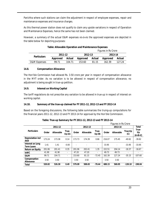Parichha where such stations can claim the adjustment in respect of employee expenses, repair and maintenance expenses and insurance charges.

As this thermal power station does not qualify to claim any upside variations in respect of Operation and Maintenance Expenses, hence the same has not been claimed.

However, a summary of the actual O&M expenses vis-à-vis the approved expenses are depicted in the table below for depicting purposes:

|                         |          |        | Figures in Rs Crore |        |          |        |  |
|-------------------------|----------|--------|---------------------|--------|----------|--------|--|
| <b>Particulars</b>      | 2011-12  |        | 2012-13             |        | 2013-14  |        |  |
|                         | Approved | Actual | Approved            | Actual | Approved | Actual |  |
| <b>O&amp;M Expenses</b> | 99 71    | 104.71 | 153.60              | 81.15  | 162.39   | 127.24 |  |

# **Table: Allowable Operation and Maintenance Expenses**

# **14.8. Compensation Allowance**

The Hon'ble Commission had allowed Rs. 3.50 crore per year in respect of compensation allowance in the MYT order. As no variation is to be allowed in respect of compensation allowance, no adjustment is being sought in true-up petition.

# **14.9. Interest on Working Capital**

The tariff regulations do not prescribe any variation to be allowed in true-up in respect of interest on working capital.

# **14.10. Summary of the true-up claimed for FY 2011-12, 2012-13 and FY 2013-14**

Based on the foregoing discussions, the following table summarizes the truing-up computations for the financial years 2011-12, 2012-13 and FY 2013-14 for approval by the Hon'ble Commission.

|                                       |        |                  |                |                          | Figures in Rs Crore |                          |        |                  |                          |                          |
|---------------------------------------|--------|------------------|----------------|--------------------------|---------------------|--------------------------|--------|------------------|--------------------------|--------------------------|
|                                       |        | 2011-12          |                |                          | 2012-13             |                          |        | 2013-14          |                          | <b>Total</b>             |
| <b>Particulars</b>                    | Order  | <b>Allowable</b> | True-<br>Up(A) | Order                    | <b>Allowable</b>    | True-<br>Up(B)           | Order  | <b>Allowable</b> | True-Up<br>(C)           | True-<br>Up<br>$(A+B+C)$ |
| Depreciation incl<br>AAD              | 173.24 | 173.38           | 0.14           | 173.73                   | 174.39              | 0.66                     | 216.07 | 175.45           | $-40.62$                 | $-39.82$                 |
| Interest on Long<br><b>Term Loans</b> | 1.41   | 1.41             | $-0.00$        | $\overline{\phantom{a}}$ |                     | $\overline{\phantom{0}}$ | 33.95  | ٠                | $-33.95$                 | $-33.95$                 |
| <b>Return on Equity</b>               | 201.06 | 201.41           | 0.35           | 201.06                   | 202.41              | 1.35                     | 222.51 | 204.14           | $-18.37$                 | $-16.67$                 |
| <b>IoWC</b>                           | 41.90  | 41.90            | ٠              | 47.20                    | 47.20               | ۰                        | 49.73  | 49.73            | $\overline{\phantom{a}}$ | ٠                        |
| 0&M                                   | 99.71  | 104.71           | ٠              | 153.60                   | 81.15               | $-72.45$                 | 162.39 | 127.24           | $-35.15$                 | $-107.60$                |
| Compensation<br><b>Allowance</b>      | 3.50   | 3.50             | ۰              | 3.50                     | 3.50                | ۰                        | 3.50   | 3.50             | ٠                        | ۰                        |
| <b>Total</b>                          | 520.82 | 526.30           | 0.49           | 579.09                   | 508.65              | $-70.44$                 | 688.15 | 560.05           | $-128.10$                | $-198.04$                |

**Table: True-up Summary for FY 2011-12, 2012-13 and FY 2013-14**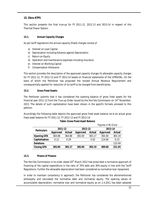# **15. Obra ATPS**

This section presents the final true-up for FY 2011-12, 2012-13 and 2013-14 in respect of this Thermal Power Station.

# **15.1. Annual Capacity Charges**

As per tariff regulations the annual capacity (fixed) charges consist of

- a) Interest on Loan Capital
- b) Depreciation including Advance against Depreciation
- c) Return on Equity
- d) Operation and maintenance expenses including insurance
- e) Interest on Working Capital
- f) Compensation Allowance

This section provides the description of the approved capacity charges Vs allowable capacity charges for FY 2011-12, FY 2012-13 and FY 2013-14 based on financial statements of the UPRVUNL. On the basis of which the Petitioner has proposed the revised Annual Revenue Requirement and consequentially applied for reduction of its tariff to be charged from beneficiaries.

# **15.2. Gross Fixed Assets**

The Petitioner submits that it has considered the opening balance of gross fixed assets for the financial year 2011-12 from the True-up Order issued by the Hon'ble Commission on  $14<sup>th</sup>$  November, 2013. The details of such capitalization have been shown in the specific formats annexed to this petition.

Accordingly the following table depicts the approved gross fixed asset balance vis-à-vis actual gross fixed asset balance for FY 2011-12, FY 2012-13 and FY 2013-14:

|                    |          |                          | riyul es ili ks Gibie |                          |          |               |
|--------------------|----------|--------------------------|-----------------------|--------------------------|----------|---------------|
| <b>Particulars</b> | 2011-12  |                          | 2012-13               |                          | 2013-14  |               |
|                    | Approved | <b>Actual</b>            | Approved              | Actual                   | Approved | <b>Actual</b> |
| <b>Opening GFA</b> | 364.88   | 364.88                   | 365.00                | 365.17                   | 365.00   | 365.19        |
| Capitalisation     | 0.12     | 0.29                     |                       | 0.02                     | 124.60   | 0.23          |
| <b>Deletions</b>   |          | $\overline{\phantom{a}}$ |                       | $\overline{\phantom{a}}$ |          | 133.49        |
| <b>Closing GFA</b> | 365.00   | 365.17                   | 365.00                | 365.19                   | 489.60   | 231.93        |

# **Table: Gross Fixed Asset Balance**

*Figures in Rs Crore*

#### **15.3. Means of Finance**

The Hon'ble Commission in its order dated 20<sup>th</sup> March 2012 had prescribed a normative approach of financing of the capital expenditure in the ratio of 70% debt and 30% equity in line with the Tariff Regulations. Further the allowable depreciation had been considered as normative loan repayment.

In order to maintain consistency in approach, the Petitioner has considered the aforementioned philosophy and calculated the normative debt and normative equity. The opening values of accumulated depreciation, normative loan and normative equity as on 1.4.2011 has been adopted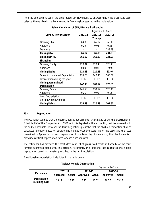from the approved values in the order dated  $14<sup>th</sup>$  November, 2013. Accordingly the gross fixed asset balance, the net fixed asset balance and its financing is presented in the table below:

|                                             |         | <b>Figures in Rs Crore</b> |          |  |
|---------------------------------------------|---------|----------------------------|----------|--|
| <b>Obra 'A' Power Station</b>               | 2011-12 | 2012-13                    | 2013-14  |  |
|                                             |         | True up                    |          |  |
| <b>Opening GFA</b>                          | 364.88  | 365.17                     | 365.19   |  |
| <b>Additions</b>                            | 0.29    | 0.02                       | 0.23     |  |
| Deletions                                   |         |                            | 133.49   |  |
| <b>Closing GFA</b>                          | 365.17  | 365.19                     | 231.93   |  |
| <b>Closing Net FA</b>                       | 365.17  | 365.19                     | 231.93   |  |
| Financing:                                  |         |                            |          |  |
| <b>Opening Equity</b>                       | 120.34  | 120.43                     | 120.43   |  |
| Additions                                   | 0.09    | 0.01                       | $-39.98$ |  |
| <b>Closing Equity</b>                       | 120.43  | 120.43                     | 80.46    |  |
| Open. Accumulated Depreciation              | 134.28  | 147.40                     | 160.52   |  |
| Depreciation during the year                | 13.12   | 13.12                      | 13.13    |  |
| <b>Closing Accumulated</b><br>Depreciation  | 147.40  | 160.52                     | 173.65   |  |
| <b>Opening Debts</b>                        | 146.50  | 133.59                     | 120.48   |  |
| Additions                                   | 0.21    | 0.01                       | 0.16     |  |
| Less: Depreciation<br>(normative repayment) | 13.12   | 13.12                      | 13.13    |  |
| <b>Closing Debts</b>                        | 133.59  | 120.48                     | 107.51   |  |

**Table: Calculation of GFA, NFA and its financing**

# **15.4. Depreciation**

The Petitioner submits that the depreciation as per accounts is calculated as per the prescription of Schedule XIV of the Companies Act, 1956 which is depicted in the accounting policies annexed with the audited accounts. However the Tariff Regulations prescribe that the eligible depreciation shall be calculated annually, based on straight line method over the useful life of the asset and the rates prescribed in Appendix II of such regulations. It is noteworthy of mentioning that the Appendix II prescribes distinct depreciation rates for each class of assets.

The Petitioner has provided the asset class wise list of gross fixed assets in Form 12 of the tariff formats submitted along with this petition. Accordingly the Petitioner has calculated the eligible depreciation based on the rates prescribed in the tariff regulations.

The allowable depreciation is depicted in the table below:

**Table: Allowable Depreciation**

|                                      |          |        | Figures in Rs Crore |        |          |        |  |
|--------------------------------------|----------|--------|---------------------|--------|----------|--------|--|
| <b>Particulars</b>                   | 2011-12  |        | 2012-13             |        | 2013-14  |        |  |
|                                      | Approved | Actual | Approved            | Actual | Approved | Actual |  |
| <b>Depreciation</b><br>including AAD | 13 11    | 13 12  | 13 12               | 13.12  | 20.37    | 13.13  |  |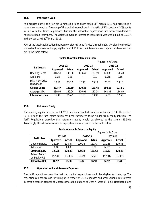#### **15.5. Interest on Loan**

As discussed above, the Hon'ble Commission in its order dated 20<sup>th</sup> March 2012 had prescribed a normative approach of financing of the capital expenditure in the ratio of 70% debt and 30% equity in line with the Tariff Regulations. Further the allowable depreciation has been considered as normative loan repayment. The weighted average interest on loan capital was worked out at 10.91% in the order dated 20<sup>th</sup> March 2012.

70% of the total capitalisation has been considered to be funded through debt. Considering the debt worked out as above and applying the rate of 10.91%, the interest on loan capital has been worked out in the table below:

|                              |                 |               | <b>Figures in Rs Crore</b> |        |          |               |  |
|------------------------------|-----------------|---------------|----------------------------|--------|----------|---------------|--|
| <b>Particulars</b>           | 2011-12         |               | 2012-13                    |        | 2013-14  |               |  |
|                              | <b>Approved</b> | <b>Actual</b> | Approved                   | Actual | Approved | <b>Actual</b> |  |
| <b>Opening Debts</b>         | 146.50          | 146.50        | 133.47                     | 133.59 | 120.35   | 120.48        |  |
| Additions                    | 0.08            | 0.21          | $\blacksquare$             | 0.01   | 99.68    | 0.16          |  |
| Less: Normative<br>repayment | 13.11           | 13.12         | 13.12                      | 13.12  | 20.37    | 13.13         |  |
| <b>Closing Debts</b>         | 133.47          | 133.59        | 120.35                     | 120.48 | 199.66   | 107.51        |  |
| Average Debt                 | 139.99          | 140.04        | 126.91                     | 127.04 | 160.01   | 114.00        |  |
| Interest on Loan             | 15.41           | 15.42         | 13.97                      | 13.99  | 17.62    | 12.55         |  |

# **Table: Allowable Interest on Loan**

# **15.6. Return on Equity**

The opening equity base as on 1.4.2011 has been adopted from the order dated  $14<sup>th</sup>$  November, 2013. 30% of the total capitalisation has been considered to be funded from equity infusion. The Tariff Regulations prescribe that return on equity would be allowed at the rate of 15.50%. Accordingly, the allowable return on equity has been computed in the table below:

|                                 |          |        |          | Figures in Rs Crore |          |        |  |  |
|---------------------------------|----------|--------|----------|---------------------|----------|--------|--|--|
| <b>Particulars</b>              | 2011-12  |        | 2012-13  |                     | 2013-14  |        |  |  |
|                                 | Approved | Actual | Approved | Actual              | Approved | Actual |  |  |
| <b>Opening Equity</b>           | 120.34   | 120.34 | 120.38   | 120.43              | 120.38   | 120.43 |  |  |
| <b>Additions</b>                | 0.04     | 0.09   |          | 0.01                | 24.92    |        |  |  |
| <b>Closing Equity</b>           | 120.38   | 120.43 | 120.38   | 120.43              | 145.30   | 120.43 |  |  |
| Rate of Return<br>on Equity (%) | 15.50%   | 15.50% | 15.50%   | 15.50%              | 15.50%   | 15.50% |  |  |
| <b>Allowable RoE</b>            | 16.97    | 16.98  | 16.97    | 16.98               | 22.52    | 10.78  |  |  |

# **Table: Allowable Return on Equity**

#### **15.7. Operation and Maintenance Expenses**

The tariff regulations prescribe that only capital expenditure would be eligible for truing up. The regulations do not provide for truing up in respect of O&M expenses and other variable costs except in certain cases in respect of vintage generating stations of Obra A, Obra B, Panki, Harduaganj and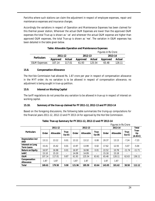Parichha where such stations can claim the adjustment in respect of employee expenses, repair and maintenance expenses and insurance charges.

Accordingly the variations in respect of Operation and Maintenance Expenses has been claimed for this thermal power station, Wherever the actual O&M Expenses are lower than the approved O&M expenses the total True-up is shown as '-ve' and wherever the actual O&M expense are higher than approved O&M expenses, the total True-up is shown as '+ve'. The variation in O&M expenses has been detailed in the table given below.

|                         |          |        | Figures in Rs Crore |        |          |               |  |
|-------------------------|----------|--------|---------------------|--------|----------|---------------|--|
| <b>Particulars</b>      | 2011-12  |        | 2012-13             |        | 2013-14  |               |  |
|                         | Approved | Actual | Approved            | Actual | Approved | <b>Actual</b> |  |
| <b>O&amp;M Expenses</b> | 107.14   | 117.01 | 61.93               | 125.54 | 65.48    | 128.11        |  |

# **Table: Allowable Operation and Maintenance Expenses**

# **15.8. Compensation Allowance**

The Hon'ble Commission had allowed Rs. 1.87 crore per year in respect of compensation allowance in the MYT order. As no variation is to be allowed in respect of compensation allowance, no adjustment is being sought in true-up petition.

# **15.9. Interest on Working Capital**

The tariff regulations do not prescribe any variation to be allowed in true-up in respect of interest on working capital.

# **15.10. Summary of the true-up claimed for FY 2011-12, 2012-13 and FY 2013-14**

Based on the foregoing discussions, the following table summarizes the truing-up computations for the financial years 2011-12, 2012-13 and FY 2013-14 for approval by the Hon'ble Commission.

| , iyul us ili na ululu                |        |                  |                |        |                  |                |        |                  |                |                          |
|---------------------------------------|--------|------------------|----------------|--------|------------------|----------------|--------|------------------|----------------|--------------------------|
|                                       |        | 2011-12          |                |        | 2012-13          |                |        | 2013-14          |                |                          |
| <b>Particulars</b>                    | Order  | <b>Allowable</b> | True-<br>Up(A) | Order  | <b>Allowable</b> | True-<br>Up(B) | Order  | <b>Allowable</b> | True-<br>Up(G) | True-<br>Up<br>$(A+B+C)$ |
| Depreciation incl<br>AAD              | 13.11  | 13.12            | 0.01           | 13.12  | 13.12            | 0.00           | 20.37  | 13.13            | $-7.24$        | $-7.23$                  |
| Interest on Long<br><b>Term Loans</b> | 15.41  | 15.42            | 0.01           | 13.97  | 13.99            | 0.02           | 17.62  | 12.55            | $-5.07$        | $-5.04$                  |
| <b>Return on Equity</b>               | 16.97  | 16.98            | 0.01           | 16.97  | 16.98            | 0.01           | 22.52  | 10.78            | $-11.74$       | $-11.71$                 |
| <b>IoWC</b>                           | 15.10  | 15.10            | ٠              | 14.09  | 14.09            |                | 15.18  | 15.18            |                |                          |
| 0&M                                   | 107.14 | 117.01           | 9.87           | 61.93  | 125.54           | 63.61          | 65.48  | 128.11           | 62.63          | 136.11                   |
| Compensation<br>Allowance             | 1.87   | 1.87             | ٠              | 1.87   | 1.87             |                | 1.87   | 1.87             | ٠              |                          |
| <b>Total</b>                          | 169.61 | 179.50           | 9.90           | 121.96 | 185.59           | 63.64          | 143.05 | 181.62           | 38.58          | 112.12                   |

**Table: True-up Summary for FY 2011-12, 2012-13 and FY 2013-14**

*Figures in Rs Crore*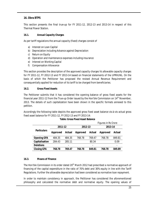# **16. Obra BTPS**

This section presents the final true-up for FY 2011-12, 2012-13 and 2013-14 in respect of this Thermal Power Station.

# **16.1. Annual Capacity Charges**

As per tariff regulations the annual capacity (fixed) charges consist of

- a) Interest on Loan Capital
- b) Depreciation including Advance against Depreciation
- c) Return on Equity
- d) Operation and maintenance expenses including insurance
- e) Interest on Working Capital
- f) Compensation Allowance

This section provides the description of the approved capacity charges Vs allowable capacity charges for FY 2011-12, FY 2012-13 and FY 2013-14 based on financial statements of the UPRVUNL. On the basis of which the Petitioner has proposed the revised Annual Revenue Requirement and consequentially applied for reduction of its tariff to be charged from beneficiaries.

# **16.2. Gross Fixed Assets**

The Petitioner submits that it has considered the opening balance of gross fixed assets for the financial year 2011-12 from the True-up Order issued by the Hon'ble Commission on  $14<sup>th</sup>$  November, 2013. The details of such capitalization have been shown in the specific formats annexed to this petition.

Accordingly the following table depicts the approved gross fixed asset balance vis-à-vis actual gross fixed asset balance for FY 2011-12, FY 2012-13 and FY 2013-14:

|                    |          |        | Figures in Rs Crore |        |          |        |  |
|--------------------|----------|--------|---------------------|--------|----------|--------|--|
| <b>Particulars</b> | 2011-12  |        | 2012-13             |        | 2013-14  |        |  |
|                    | Approved | Actual | Approved            | Actual | Approved | Actual |  |
| <b>Opening GFA</b> | 484.35   | 484.35 | 768.78              | 769.47 | 768.78   | 849.81 |  |
| Capitalisation     | 284.43   | 285.11 |                     | 80.34  |          | 0.09   |  |
| <b>Deletions</b>   |          | ۰      |                     | -      |          | ۰      |  |
| <b>Closing GFA</b> | 768.78   | 769.47 | 768.78              | 849.81 | 768.78   | 849.89 |  |

# **16.3. Means of Finance**

The Hon'ble Commission in its order dated  $20<sup>th</sup>$  March 2012 had prescribed a normative approach of financing of the capital expenditure in the ratio of 70% debt and 30% equity in line with the Tariff Regulations. Further the allowable depreciation had been considered as normative loan repayment.

In order to maintain consistency in approach, the Petitioner has considered the aforementioned philosophy and calculated the normative debt and normative equity. The opening values of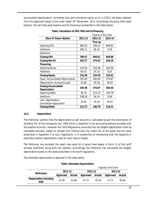accumulated depreciation, normative loan and normative equity as on 1.4.2011 has been adopted from the approved values in the order dated  $14<sup>th</sup>$  November, 2013. Accordingly the gross fixed asset balance, the net fixed asset balance and its financing is presented in the table below:

|                                |         | Figures in Rs Crore |         |  |
|--------------------------------|---------|---------------------|---------|--|
| <b>Obra 'B' Power Station</b>  | 2011-12 | 2012-13             | 2013-14 |  |
|                                |         | True up             |         |  |
| <b>Opening GFA</b>             | 484.35  | 769.47              | 849.81  |  |
| Additions                      | 285.11  | 80.34               | 0.09    |  |
| Deletions                      |         |                     |         |  |
| <b>Closing GFA</b>             | 769.47  | 849.81              | 849.89  |  |
| <b>Closing Net FA</b>          | 423.77  | 474.93              | 444.39  |  |
| Financing:                     |         |                     |         |  |
| <b>Opening Equity</b>          | 124.95  | 210.48              | 234.59  |  |
| Additions                      | 85.53   | 24.10               | 0.03    |  |
| <b>Closing Equity</b>          | 210.48  | 234.59              | 234.61  |  |
| Open. Accumulated Depreciation | 323.09  | 345.69              | 374.87  |  |
| Depreciation during the year   | 22.60   | 29.18               | 30.63   |  |
| <b>Closing Accumulated</b>     | 345.69  | 374.87              | 405.50  |  |
| <b>Depreciation</b>            |         |                     |         |  |
| <b>Opening Debts</b>           | 36.74   | 213.72              | 240.78  |  |
| Additions                      | 199.58  | 56.24               | 0.06    |  |
| Less: Depreciation             | 22.60   | 29.18               | 30.63   |  |
| (normative repayment)          |         |                     |         |  |
| <b>Closing Debts</b>           | 213.72  | 240.78              | 210.21  |  |

# **16.4. Depreciation**

The Petitioner submits that the depreciation as per accounts is calculated as per the prescription of Schedule XIV of the Companies Act, 1956 which is depicted in the accounting policies annexed with the audited accounts. However the Tariff Regulations prescribe that the eligible depreciation shall be calculated annually, based on straight line method over the useful life of the asset and the rates prescribed in Appendix II of such regulations. It is noteworthy of mentioning that the Appendix II prescribes distinct depreciation rates for each class of assets.

The Petitioner has provided the asset class wise list of gross fixed assets in Form 12 of the tariff formats submitted along with this petition. Accordingly the Petitioner has calculated the eligible depreciation based on the rates prescribed in the tariff regulations.

The allowable depreciation is depicted in the table below:

# **Table: Allowable Depreciation**

|                               |          |        | Figures in Rs Crore |        |          |        |  |  |
|-------------------------------|----------|--------|---------------------|--------|----------|--------|--|--|
| <b>Particulars</b>            | 2011-12  |        | 2012-13             |        | 2013-14  |        |  |  |
|                               | Approved | Actual | Approved            | Actual | Approved | Actual |  |  |
| Depreciation including<br>AAD | 22.59    | 22.60  | 27 71               | 29 18  | 27 71    | 30.63  |  |  |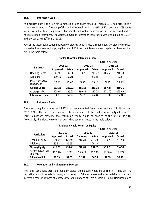# **16.5. Interest on Loan**

As discussed above, the Hon'ble Commission in its order dated  $20<sup>th</sup>$  March 2012 had prescribed a normative approach of financing of the capital expenditure in the ratio of 70% debt and 30% equity in line with the Tariff Regulations. Further the allowable depreciation has been considered as normative loan repayment. The weighted average interest on loan capital was worked out at 10.91% in the order dated 20<sup>th</sup> March 2012.

70% of the total capitalisation has been considered to be funded through debt. Considering the debt worked out as above and applying the rate of 10.91%, the interest on loan capital has been worked out in the table below:

|                              |                 |        | Figures in Rs Crore |        |                 |        |  |  |
|------------------------------|-----------------|--------|---------------------|--------|-----------------|--------|--|--|
| <b>Particulars</b>           | 2011-12         |        | 2012-13             |        | 2013-14         |        |  |  |
|                              | <b>Approved</b> | Actual | Approved            | Actual | <b>Approved</b> | Actual |  |  |
| <b>Opening Debts</b>         | 36.74           | 36.74  | 213.26              | 213.72 | 185.55          | 240.78 |  |  |
| Additions                    | 199.10          | 199.58 | $\blacksquare$      | 56.24  |                 | 0.06   |  |  |
| Less: Normative<br>repayment | 22.58           | 22.60  | 27.71               | 29.18  | 27.71           | 30.63  |  |  |
| <b>Closing Debts</b>         | 213.26          | 213.72 | 185.55              | 240.78 | 157.84          | 210.21 |  |  |
| Average Debt                 | 125.00          | 125.23 | 199.41              | 227.25 | 171.70          | 225.49 |  |  |
| Interest on Loan             | 14.33           | 14.35  | 22.85               | 26.04  | 19.68           | 25.84  |  |  |

# **Table: Allowable Interest on Loan**

# **16.6. Return on Equity**

The opening equity base as on 1.4.2011 has been adopted from the order dated 14<sup>th</sup> November, 2013. 30% of the total capitalisation has been considered to be funded from equity infusion. The Tariff Regulations prescribe that return on equity would be allowed at the rate of 15.50%. Accordingly, the allowable return on equity has been computed in the table below:

# **Table: Allowable Return on Equity**

|                                 |          |        | Figures in Rs Crore |        |          |        |  |  |
|---------------------------------|----------|--------|---------------------|--------|----------|--------|--|--|
| <b>Particulars</b>              | 2011-12  |        | 2012-13             |        | 2013-14  |        |  |  |
|                                 | Approved | Actual | <b>Approved</b>     | Actual | Approved | Actual |  |  |
| <b>Opening Equity</b>           | 124.95   | 124.95 | 210.28              | 210.48 | 210.28   | 234.59 |  |  |
| Additions                       | 85.33    | 85.53  |                     | 24.10  |          | $\,$   |  |  |
| <b>Closing Equity</b>           | 210.28   | 210.48 | 210.28              | 234.59 | 210.28   | 234.59 |  |  |
| Rate of Return on<br>Equity (%) | 15.50%   | 15.50% | 15.50%              | 15.50% | 15.50%   | 15.50% |  |  |
| <b>Allowable RoE</b>            | 32.59    | 32.63  | 32.59               | 36.36  | 32.59    | 36.36  |  |  |

# **16.7. Operation and Maintenance Expenses**

The tariff regulations prescribe that only capital expenditure would be eligible for truing up. The regulations do not provide for truing up in respect of O&M expenses and other variable costs except in certain cases in respect of vintage generating stations of Obra A, Obra B, Panki, Harduaganj and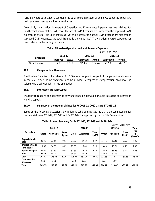Parichha where such stations can claim the adjustment in respect of employee expenses, repair and maintenance expenses and insurance charges.

Accordingly the variations in respect of Operation and Maintenance Expenses has been claimed for this thermal power station, Wherever the actual O&M Expenses are lower than the approved O&M expenses the total True-up is shown as '-ve' and wherever the actual O&M expense are higher than approved O&M expenses, the total True-up is shown as '+ve'. The variation in O&M expenses has been detailed in the table given below.

|                         |          |        | Figures in Rs Crore |        |          |        |  |  |  |
|-------------------------|----------|--------|---------------------|--------|----------|--------|--|--|--|
| <b>Particulars</b>      | 2011-12  |        | 2012-13             |        | 2013-14  |        |  |  |  |
|                         | Approved | Actual | Approved            | Actual | Approved | Actual |  |  |  |
| <b>O&amp;M Expenses</b> | 164.01   | 176.75 | 215.05              | 157.24 | 227.35   | 176.77 |  |  |  |

# **Table: Allowable Operation and Maintenance Expenses**

# **16.8. Compensation Allowance**

The Hon'ble Commission had allowed Rs. 6.50 crore per year in respect of compensation allowance in the MYT order. As no variation is to be allowed in respect of compensation allowance, no adjustment is being sought in true-up petition.

# **16.9. Interest on Working Capital**

The tariff regulations do not prescribe any variation to be allowed in true-up in respect of interest on working capital.

# **16.10. Summary of the true-up claimed for FY 2011-12, 2012-13 and FY 2013-14**

Based on the foregoing discussions, the following table summarizes the truing-up computations for the financial years 2011-12, 2012-13 and FY 2013-14 for approval by the Hon'ble Commission.

|                                       | <b>Figures in Rs Crore</b> |                  |                |        |                  |                          |        |                  |                          |                          |
|---------------------------------------|----------------------------|------------------|----------------|--------|------------------|--------------------------|--------|------------------|--------------------------|--------------------------|
|                                       |                            | 2011-12          |                |        | 2012-13          |                          |        | 2013-14          |                          |                          |
| <b>Particulars</b>                    | Order                      | <b>Allowable</b> | True-<br>Up(A) | Order  | <b>Allowable</b> | True-<br>Up(B)           | Order  | <b>Allowable</b> | True-<br>Up(C)           | True-<br>Up<br>$(A+B+C)$ |
| <b>Depreciation incl</b><br>AAD       | 22.59                      | 22.60            | 0.01           | 27.71  | 29.18            | 1.47                     | 27.71  | 30.63            | 2.92                     | 4.40                     |
| Interest on Long<br><b>Term Loans</b> | 14.33                      | 14.35            | 0.02           | 22.85  | 26.04            | 3.19                     | 19.68  | 25.84            | 6.16                     | 9.38                     |
| <b>Return on Equity</b>               | 32.59                      | 32.63            | 0.04           | 32.59  | 36.36            | 3.77                     | 32.59  | 36.36            | 3.77                     | 7.58                     |
| <b>IoWC</b>                           | 45.73                      | 45.73            | ٠              | 50.50  | 50.50            | $\overline{\phantom{a}}$ | 52.96  | 52.96            | $\overline{\phantom{a}}$ |                          |
| 0&M                                   | 164.01                     | 176.75           | 12.74          | 215.05 | 157.24           | $-57.81$                 | 227.35 | 176.77           | $-50.58$                 | $-95.65$                 |
| Compensation<br>Allowance             | 6.50                       | 6.50             | ۰              | 6.50   | 6.50             | $\sim$                   | 6.50   | 6.50             |                          |                          |
| <b>Total</b>                          | 285.75                     | 298.56           | 12.81          | 355.21 | 305.82           | $-49.38$                 | 366.79 | 329.07           | $-37.72$                 | $-74.29$                 |

# **Table: True-up Summary for FY 2011-12, 2012-13 and FY 2013-14**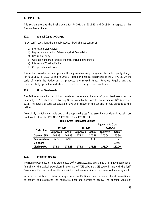# **17. Panki TPS**

This section presents the final true-up for FY 2011-12, 2012-13 and 2013-14 in respect of this Thermal Power Station.

# **17.1. Annual Capacity Charges**

As per tariff regulations the annual capacity (fixed) charges consist of

- a) Interest on Loan Capital
- b) Depreciation including Advance against Depreciation
- c) Return on Equity
- d) Operation and maintenance expenses including insurance
- e) Interest on Working Capital
- f) Compensation Allowance

This section provides the description of the approved capacity charges Vs allowable capacity charges for FY 2011-12, FY 2012-13 and FY 2013-14 based on financial statements of the UPRVUNL. On the basis of which the Petitioner has proposed the revised Annual Revenue Requirement and consequentially applied for reduction of its tariff to be charged from beneficiaries.

# **17.2. Gross Fixed Assets**

The Petitioner submits that it has considered the opening balance of gross fixed assets for the financial year 2011-12 from the True-up Order issued by the Hon'ble Commission on  $14<sup>th</sup>$  November, 2013. The details of such capitalization have been shown in the specific formats annexed to this petition.

Accordingly the following table depicts the approved gross fixed asset balance vis-à-vis actual gross fixed asset balance for FY 2011-12, FY 2012-13 and FY 2013-14:

|                    |          | <u>Hydica III Na Citul C</u> |                 |                          |                          |               |  |
|--------------------|----------|------------------------------|-----------------|--------------------------|--------------------------|---------------|--|
| <b>Particulars</b> | 2011-12  |                              | 2012-13         |                          | 2013-14                  |               |  |
|                    | Approved | Actual                       | <b>Approved</b> | Actual                   | <b>Approved</b>          | <b>Actual</b> |  |
| <b>Opening GFA</b> | 168.28   | 168.28                       | 175.04          | 175.28                   | 175.04                   | 175.39        |  |
| Capitalisation     | 6.75     | 6.99                         |                 | 0.11                     | $\overline{\phantom{0}}$ | 6.62          |  |
| <b>Deletions</b>   |          | ۰                            |                 | $\overline{\phantom{a}}$ |                          | 22.01         |  |
| <b>Closing GFA</b> | 175.04   | 175.28                       | 175.04          | 175.39                   | 175.04                   | 160.00        |  |

# **Table: Gross Fixed Asset Balance**

*Figures in Rs Crore*

# **17.3. Means of Finance**

The Hon'ble Commission in its order dated 20<sup>th</sup> March 2012 had prescribed a normative approach of financing of the capital expenditure in the ratio of 70% debt and 30% equity in line with the Tariff Regulations. Further the allowable depreciation had been considered as normative loan repayment.

In order to maintain consistency in approach, the Petitioner has considered the aforementioned philosophy and calculated the normative debt and normative equity. The opening values of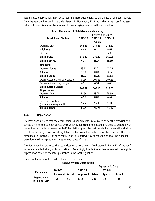accumulated depreciation, normative loan and normative equity as on 1.4.2011 has been adopted from the approved values in the order dated  $14<sup>th</sup>$  November, 2013. Accordingly the gross fixed asset balance, the net fixed asset balance and its financing is presented in the table below:

|                                                   |         | <b>Figures in Rs Crore</b> |         |  |  |
|---------------------------------------------------|---------|----------------------------|---------|--|--|
| <b>Panki Power Station</b>                        | 2011-12 | 2012-13                    | 2013-14 |  |  |
|                                                   | True up |                            |         |  |  |
| <b>Opening GFA</b>                                | 168.28  | 175.28                     | 175.39  |  |  |
| Additions                                         | 6.99    | 0.11                       | 6.62    |  |  |
| Deletions                                         |         |                            | 22.01   |  |  |
| <b>Closing GFA</b>                                | 175.28  | 175.39                     | 160.00  |  |  |
| <b>Closing Net FA</b>                             | 74.47   | 68.24                      | 46.39   |  |  |
| Financing:                                        |         |                            |         |  |  |
| <b>Opening Equity</b>                             | 39.12   | 41.22                      | 41.25   |  |  |
| Additions                                         | 2.10    | 0.03                       | $-4.62$ |  |  |
| <b>Closing Equity</b>                             | 41.22   | 41.25                      | 36.64   |  |  |
| Open. Accumulated Depreciation                    | 94.60   | 100.81                     | 107.15  |  |  |
| Depreciation during the year                      | 6.21    | 6.34                       | 6.46    |  |  |
| <b>Closing Accumulated</b><br><b>Depreciation</b> | 100.81  | 107.15                     | 113.61  |  |  |
| <b>Opening Debts</b>                              | 34.56   | 33.25                      | 26.99   |  |  |
| Additions                                         | 4.90    | 0.08                       | 4.64    |  |  |
| Less: Depreciation<br>(normative repayment)       | 6.21    | 6.34                       | 6.46    |  |  |
| <b>Closing Debts</b>                              | 33.25   | 26.99                      | 25.16   |  |  |

**Table: Calculation of GFA, NFA and its financing**

# **17.4. Depreciation**

The Petitioner submits that the depreciation as per accounts is calculated as per the prescription of Schedule XIV of the Companies Act, 1956 which is depicted in the accounting policies annexed with the audited accounts. However the Tariff Regulations prescribe that the eligible depreciation shall be calculated annually, based on straight line method over the useful life of the asset and the rates prescribed in Appendix II of such regulations. It is noteworthy of mentioning that the Appendix II prescribes distinct depreciation rates for each class of assets.

The Petitioner has provided the asset class wise list of gross fixed assets in Form 12 of the tariff formats submitted along with this petition. Accordingly the Petitioner has calculated the eligible depreciation based on the rates prescribed in the tariff regulations.

The allowable depreciation is depicted in the table below:

# **Table: Allowable Depreciation**

|                                      | Figures in Rs Crore |        |          |        |          |        |  |
|--------------------------------------|---------------------|--------|----------|--------|----------|--------|--|
| <b>Particulars</b>                   | 2011-12             |        | 2012-13  |        | 2013-14  |        |  |
|                                      | Approved            | Actual | Approved | Actual | Approved | Actual |  |
| <b>Depreciation</b><br>including AAD | 6.20                | 6.21   | 6.33     | 6.34   | 6.33     | 6.46   |  |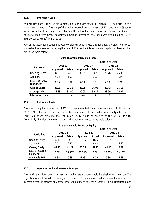# **17.5. Interest on Loan**

As discussed above, the Hon'ble Commission in its order dated  $20<sup>th</sup>$  March 2012 had prescribed a normative approach of financing of the capital expenditure in the ratio of 70% debt and 30% equity in line with the Tariff Regulations. Further the allowable depreciation has been considered as normative loan repayment. The weighted average interest on loan capital was worked out at 10.91% in the order dated 20<sup>th</sup> March 2012.

70% of the total capitalisation has been considered to be funded through debt. Considering the debt worked out as above and applying the rate of 10.91%, the interest on loan capital has been worked out in the table below:

|                              |          |               | Figures in Rs Crore |        |                 |        |  |  |
|------------------------------|----------|---------------|---------------------|--------|-----------------|--------|--|--|
| <b>Particulars</b>           | 2011-12  |               | 2012-13             |        | 2013-14         |        |  |  |
|                              | Approved | <b>Actual</b> | Approved            | Actual | <b>Approved</b> | Actual |  |  |
| <b>Opening Debts</b>         | 34.56    | 34.56         | 33.09               | 33.25  | 26.76           | 26.99  |  |  |
| Additions                    | 4.73     | 4.90          |                     | 0.08   |                 | 4.64   |  |  |
| Less: Normative<br>repayment | 6.20     | 6.21          | 6.33                | 6.34   | 6.33            | 6.46   |  |  |
| <b>Closing Debts</b>         | 33.09    | 33.25         | 26.76               | 26.99  | 20.43           | 25.16  |  |  |
| Average Debt                 | 33.83    | 33.90         | 29.93               | 30.12  | 23.60           | 26.07  |  |  |
| Interest on Loan             | 3.91     | 3.92          | 3.46                | 3.48   | 2.73            | 3.01   |  |  |

# **Table: Allowable Interest on Loan**

# **17.6. Return on Equity**

The opening equity base as on 1.4.2011 has been adopted from the order dated 14<sup>th</sup> November, 2013. 30% of the total capitalisation has been considered to be funded from equity infusion. The Tariff Regulations prescribe that return on equity would be allowed at the rate of 15.50%. Accordingly, the allowable return on equity has been computed in the table below:

|                                 |          |        |          | Figures in Rs Crore |          |               |  |  |  |
|---------------------------------|----------|--------|----------|---------------------|----------|---------------|--|--|--|
| <b>Particulars</b>              | 2011-12  |        | 2012-13  |                     | 2013-14  |               |  |  |  |
|                                 | Approved | Actual | Approved | Actual              | Approved | <b>Actual</b> |  |  |  |
| <b>Opening Equity</b>           | 39.12    | 39.12  | 41.15    | 41.22               | 41.15    |               |  |  |  |
| Additions                       | 2.03     | 2.10   |          | 0.03                |          | 6.62          |  |  |  |
| <b>Closing Equity</b>           | 41.15    | 41.22  | 41.15    | 41.25               | 41.15    | 6.62          |  |  |  |
| Rate of Return on<br>Equity (%) | 15.50%   | 15.50% | 15.50%   | 15.50%              | 15.50%   | 15.50%        |  |  |  |
| <b>Allowable RoE</b>            | 6.38     | 6.39   | 6.38     | 6.39                | 6.38     | 5.68          |  |  |  |

# **17.7. Operation and Maintenance Expenses**

The tariff regulations prescribe that only capital expenditure would be eligible for truing up. The regulations do not provide for truing up in respect of O&M expenses and other variable costs except in certain cases in respect of vintage generating stations of Obra A, Obra B, Panki, Harduaganj and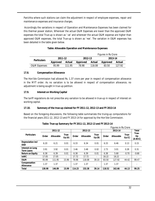Parichha where such stations can claim the adjustment in respect of employee expenses, repair and maintenance expenses and insurance charges.

Accordingly the variations in respect of Operation and Maintenance Expenses has been claimed for this thermal power station, Wherever the actual O&M Expenses are lower than the approved O&M expenses the total True-up is shown as '-ve' and wherever the actual O&M expense are higher than approved O&M expenses, the total True-up is shown as '+ve'. The variation in O&M expenses has been detailed in the table given below.

|                         |          |        | Figures in Rs Crore |        |          |        |  |  |
|-------------------------|----------|--------|---------------------|--------|----------|--------|--|--|
| <b>Particulars</b>      | 2011-12  |        | 2012-13             |        | 2013-14  |        |  |  |
|                         | Approved | Actual | Approved            | Actual | Approved | Actual |  |  |
| <b>O&amp;M Expenses</b> | 9599     | 111.95 | 78.98               | 118.08 | 83.50    | 127 92 |  |  |

# **Table: Allowable Operation and Maintenance Expenses**

# **17.8. Compensation Allowance**

The Hon'ble Commission had allowed Rs. 1.37 crore per year in respect of compensation allowance in the MYT order. As no variation is to be allowed in respect of compensation allowance, no adjustment is being sought in true-up petition.

# **17.9. Interest on Working Capital**

The tariff regulations do not prescribe any variation to be allowed in true-up in respect of interest on working capital.

# **17.10. Summary of the true-up claimed for FY 2011-12, 2012-13 and FY 2013-14**

Based on the foregoing discussions, the following table summarizes the truing-up computations for the financial years 2011-12, 2012-13 and FY 2013-14 for approval by the Hon'ble Commission.

|                                       | <b>Figures in Rs Crore</b> |                  |                          |         |                  |                |         |           |                          |                          |
|---------------------------------------|----------------------------|------------------|--------------------------|---------|------------------|----------------|---------|-----------|--------------------------|--------------------------|
|                                       | 2011-12                    |                  |                          | 2012-13 |                  |                | 2013-14 |           |                          | <b>Total</b>             |
| <b>Particulars</b>                    | Order                      | <b>Allowable</b> | True-<br>Up(A)           | Order   | <b>Allowable</b> | True-<br>Up(B) | Order   | Allowable | True-<br>Up(C)           | True-<br>Up<br>$(A+B+C)$ |
| Depreciation incl<br><b>AAD</b>       | 6.20                       | 6.21             | 0.01                     | 6.33    | 6.34             | 0.01           | 6.33    | 6.46      | 0.13                     | 0.15                     |
| Interest on Long<br><b>Term Loans</b> | 3.91                       | 3.92             | 0.01                     | 3.46    | 3.48             | 0.02           | 2.73    | 3.01      | 0.28                     | 0.31                     |
| <b>Return on Equity</b>               | 6.38                       | 6.39             | 0.01                     | 6.38    | 6.39             | 0.01           | 6.38    | 5.68      | $-0.70$                  | $-0.68$                  |
| <b>IoWC</b>                           | 17.05                      | 17.05            | $\overline{a}$           | 17.72   | 17.72            |                | 18.22   | 18.22     | $\overline{\phantom{a}}$ | ۰                        |
| 0&M                                   | 95.99                      | 111.95           | 15.96                    | 78.98   | 118.08           | 39.10          | 83.50   | 127.92    | 44.42                    | 99.47                    |
| Compensation<br>Allowance             | 1.37                       | 1.37             | $\overline{\phantom{a}}$ | 1.37    | 1.37             | ۰              | 1.37    | 1.37      | $\overline{\phantom{a}}$ | ۰                        |
| Total                                 | 130.90                     | 146.89           | 15.99                    | 114.23  | 153.38           | 39.14          | 118.52  | 162.66    | 44.13                    | 99.25                    |

**Table: True-up Summary for FY 2011-12, 2012-13 and FY 2013-14**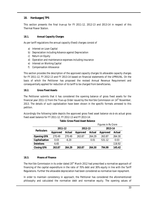# **18. Harduaganj TPS**

This section presents the final true-up for FY 2011-12, 2012-13 and 2013-14 in respect of this Thermal Power Station.

# **18.1. Annual Capacity Charges**

As per tariff regulations the annual capacity (fixed) charges consist of

- a) Interest on Loan Capital
- b) Depreciation including Advance against Depreciation
- c) Return on Equity
- d) Operation and maintenance expenses including insurance
- e) Interest on Working Capital
- f) Compensation Allowance

This section provides the description of the approved capacity charges Vs allowable capacity charges for FY 2011-12, FY 2012-13 and FY 2013-14 based on financial statements of the UPRVUNL. On the basis of which the Petitioner has proposed the revised Annual Revenue Requirement and consequentially applied for reduction of its tariff to be charged from beneficiaries.

# **18.2. Gross Fixed Assets**

The Petitioner submits that it has considered the opening balance of gross fixed assets for the financial year 2011-12 from the True-up Order issued by the Hon'ble Commission on  $14<sup>th</sup>$  November, 2013. The details of such capitalization have been shown in the specific formats annexed to this petition.

Accordingly the following table depicts the approved gross fixed asset balance vis-à-vis actual gross fixed asset balance for FY 2011-12, FY 2012-13 and FY 2013-14:

|                    |          |                          | <u>HUULGO III NG GIULG</u> |                          |                 |        |  |
|--------------------|----------|--------------------------|----------------------------|--------------------------|-----------------|--------|--|
| <b>Particulars</b> | 2011-12  |                          | 2012-13                    |                          | 2013-14         |        |  |
|                    | Approved | Actual                   | <b>Approved</b>            | Actual                   | <b>Approved</b> | Actual |  |
| <b>Opening GFA</b> | 270.49   | 270.49                   | 263.87                     | 264.29                   | 263.87          | 264.30 |  |
| Capitalisation     | 0.03     | $-6.20$                  |                            | 0.01                     | 531.12          | 0.03   |  |
| <b>Deletions</b>   | 6.65     | $\overline{\phantom{a}}$ |                            | $\overline{\phantom{a}}$ |                 | 118.92 |  |
| <b>Closing GFA</b> | 263.87   | 264.29                   | 263.87                     | 264.30                   | 794.99          | 145.42 |  |

# **Table: Gross Fixed Asset Balance**

*Figures in Rs Crore*

# **18.3. Means of Finance**

The Hon'ble Commission in its order dated 20<sup>th</sup> March 2012 had prescribed a normative approach of financing of the capital expenditure in the ratio of 70% debt and 30% equity in line with the Tariff Regulations. Further the allowable depreciation had been considered as normative loan repayment.

In order to maintain consistency in approach, the Petitioner has considered the aforementioned philosophy and calculated the normative debt and normative equity. The opening values of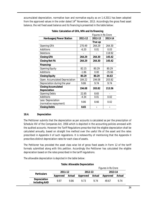accumulated depreciation, normative loan and normative equity as on 1.4.2011 has been adopted from the approved values in the order dated  $14<sup>th</sup>$  November, 2013. Accordingly the gross fixed asset balance, the net fixed asset balance and its financing is presented in the table below:

|                                 |         | <b>Figures in Rs Crore</b> |          |  |
|---------------------------------|---------|----------------------------|----------|--|
| <b>Harduaganj Power Station</b> | 2011-12 | 2012-13                    | 2013-14  |  |
|                                 |         | True up                    |          |  |
| <b>Opening GFA</b>              | 270.49  | 264.29                     | 264.30   |  |
| Additions                       | $-6.20$ | 0.01                       | 0.03     |  |
| Deletions                       |         |                            | 118.92   |  |
| <b>Closing GFA</b>              | 264.29  | 264.30                     | 145.42   |  |
| <b>Closing Net FA</b>           | 264.29  | 264.30                     | 145.42   |  |
| Financing:                      |         |                            |          |  |
| <b>Opening Equity</b>           | 82.15   | 80.29                      | 80.29    |  |
| Additions                       | $-1.86$ | 0.00                       | $-35.66$ |  |
| <b>Closing Equity</b>           | 80.29   | 80.29                      | 44.63    |  |
| Open. Accumulated Depreciation  | 184.22  | 194.08                     | 203.82   |  |
| Depreciation during the year    | 9.86    | 9.74                       | 9.74     |  |
| <b>Closing Accumulated</b>      | 194.08  | 203.82                     | 213.56   |  |
| <b>Depreciation</b>             |         |                            |          |  |
| <b>Opening Debts</b>            | 22.85   | 8.65                       |          |  |
| Additions                       | $-4.34$ | 0.01                       | 0.02     |  |
| Less: Depreciation              | 9.86    | 8.66                       | 0.02     |  |
| (normative repayment)           |         |                            |          |  |
| <b>Closing Debts</b>            | 8.65    |                            |          |  |

**Table: Calculation of GFA, NFA and its financing**

# **18.4. Depreciation**

The Petitioner submits that the depreciation as per accounts is calculated as per the prescription of Schedule XIV of the Companies Act, 1956 which is depicted in the accounting policies annexed with the audited accounts. However the Tariff Regulations prescribe that the eligible depreciation shall be calculated annually, based on straight line method over the useful life of the asset and the rates prescribed in Appendix II of such regulations. It is noteworthy of mentioning that the Appendix II prescribes distinct depreciation rates for each class of assets.

The Petitioner has provided the asset class wise list of gross fixed assets in Form 12 of the tariff formats submitted along with this petition. Accordingly the Petitioner has calculated the eligible depreciation based on the rates prescribed in the tariff regulations.

The allowable depreciation is depicted in the table below:

|                                      | Figures in Rs Crore |        |          |        |          |        |  |
|--------------------------------------|---------------------|--------|----------|--------|----------|--------|--|
| <b>Particulars</b>                   | 2011-12             |        | 2012-13  |        | 2013-14  |        |  |
|                                      | Approved            | Actual | Approved | Actual | Approved | Actual |  |
| <b>Depreciation</b><br>including AAD | 997                 | 9.86   | 9 73     | 9 74   | 49.67    | 9 74   |  |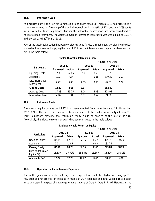#### **18.5. Interest on Loan**

As discussed above, the Hon'ble Commission in its order dated 20<sup>th</sup> March 2012 had prescribed a normative approach of financing of the capital expenditure in the ratio of 70% debt and 30% equity in line with the Tariff Regulations. Further the allowable depreciation has been considered as normative loan repayment. The weighted average interest on loan capital was worked out at 10.91% in the order dated 20<sup>th</sup> March 2012.

70% of the total capitalisation has been considered to be funded through debt. Considering the debt worked out as above and applying the rate of 10.91%, the interest on loan capital has been worked out in the table below:

|                              |                 |         |                 | Figures in Rs Crore |                 |                          |
|------------------------------|-----------------|---------|-----------------|---------------------|-----------------|--------------------------|
| <b>Particulars</b>           | 2011-12         |         | 2012-13         |                     | 2013-14         |                          |
|                              | <b>Approved</b> | Actual  | <b>Approved</b> | <b>Actual</b>       | <b>Approved</b> | Actual                   |
| <b>Opening Debts</b>         | 22.85           | 22.85   | 12.90           | 8.65                | 3.17            | $\overline{\phantom{a}}$ |
| <b>Additions</b>             | 0.02            | $-4.34$ |                 | 0.01                | 399.39          | 0.02                     |
| Less: Normative<br>repayment | 9.97            | 9.86    | 9.73            | 8.66                | 49.67           | 0.02                     |
| <b>Closing Debts</b>         | 12.90           | 8.65    | 3.17            | $\blacksquare$      | 352.89          | ۰                        |
| Average Debt                 | 17.88           | 15.75   | 8.04            | 4.33                | 178.03          |                          |
| Interest on Loan             | 2.16            | 1.91    | 0.97            | 0.52                | 21.56           |                          |

# **Table: Allowable Interest on Loan**

# **18.6. Return on Equity**

The opening equity base as on 1.4.2011 has been adopted from the order dated 14<sup>th</sup> November, 2013. 30% of the total capitalisation has been considered to be funded from equity infusion. The Tariff Regulations prescribe that return on equity would be allowed at the rate of 15.50%. Accordingly, the allowable return on equity has been computed in the table below:

# **Table: Allowable Return on Equity**

|                                 |                 |         | Figures in Rs Crore |        |                 |        |  |
|---------------------------------|-----------------|---------|---------------------|--------|-----------------|--------|--|
| <b>Particulars</b>              | 2011-12         |         | 2012-13             |        | 2013-14         |        |  |
|                                 | <b>Approved</b> | Actual  | <b>Approved</b>     | Actual | <b>Approved</b> | Actual |  |
| <b>Opening Equity</b>           | 82.15           | 82.15   | 82.16               | 80.29  | 82.16           | 80.29  |  |
| <b>Additions</b>                | 0.01            | $-1.86$ |                     | 0.00   | 131.74          |        |  |
| <b>Closing Equity</b>           | 82.16           | 80.29   | 82.16               | 80.29  | 213.89          | 80.29  |  |
| Rate of Return on<br>Equity (%) | 15.50%          | 15.50%  | 15.50%              | 15.50% | 15.50%          | 15.50% |  |
| <b>Allowable RoE</b>            | 12.27           | 12.29   | 12.27               | 12.29  | 33.15           | 6.76   |  |

# **18.7. Operation and Maintenance Expenses**

The tariff regulations prescribe that only capital expenditure would be eligible for truing up. The regulations do not provide for truing up in respect of O&M expenses and other variable costs except in certain cases in respect of vintage generating stations of Obra A, Obra B, Panki, Harduaganj and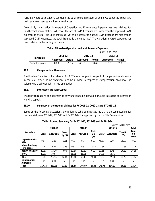Parichha where such stations can claim the adjustment in respect of employee expenses, repair and maintenance expenses and insurance charges.

Accordingly the variations in respect of Operation and Maintenance Expenses has been claimed for this thermal power station, Wherever the actual O&M Expenses are lower than the approved O&M expenses the total True-up is shown as '-ve' and wherever the actual O&M expense are higher than approved O&M expenses, the total True-up is shown as '+ve'. The variation in O&M expenses has been detailed in the table given below.

|                         |          |        | Figures in Rs Crore |        |          |        |  |  |
|-------------------------|----------|--------|---------------------|--------|----------|--------|--|--|
| <b>Particulars</b>      | 2011-12  |        | 2012-13             |        | 2013-14  |        |  |  |
|                         | Approved | Actual | Approved            | Actual | Approved | Actual |  |  |
| <b>O&amp;M</b> Expenses | 83.00    | 95.16  | 46.01               | 7045   | 53.07    | 72.33  |  |  |

# **Table: Allowable Operation and Maintenance Expenses**

# **18.8. Compensation Allowance**

The Hon'ble Commission had allowed Rs. 1.07 crore per year in respect of compensation allowance in the MYT order. As no variation is to be allowed in respect of compensation allowance, no adjustment is being sought in true-up petition.

# **18.9. Interest on Working Capital**

The tariff regulations do not prescribe any variation to be allowed in true-up in respect of interest on working capital.

# **18.10. Summary of the true-up claimed for FY 2011-12, 2012-13 and FY 2013-14**

Based on the foregoing discussions, the following table summarizes the truing-up computations for the financial years 2011-12, 2012-13 and FY 2013-14 for approval by the Hon'ble Commission.

|                                       | <b>Figures in Rs Crore</b> |                  |                          |       |           |                    |        |                  |                              |                          |
|---------------------------------------|----------------------------|------------------|--------------------------|-------|-----------|--------------------|--------|------------------|------------------------------|--------------------------|
|                                       |                            | 2011-12          |                          |       | 2012-13   |                    |        | 2013-14          |                              | <b>Total</b>             |
| <b>Particulars</b>                    | Order                      | <b>Allowable</b> | True-<br>Up(A)           | Order | Allowable | True-<br>Up<br>(B) | Order  | <b>Allowable</b> | True-Up<br>$\left( 0\right)$ | True-<br>Up<br>$(A+B+C)$ |
| <b>Depreciation incl</b><br>AAD       | 9.97                       | 9.86             | $-0.11$                  | 9.73  | 9.74      | 0.01               | 49.67  | 9.74             | $-39.93$                     | $-40.03$                 |
| Interest on Long<br><b>Term Loans</b> | 2.16                       | 1.91             | $-0.25$                  | 0.97  | 0.52      | $-0.45$            | 21.56  |                  | $-21.56$                     | $-22.26$                 |
| <b>Return on Equity</b>               | 12.27                      | 12.29            | 0.02                     | 12.27 | 12.29     | 0.02               | 33.15  | 6.76             | $-26.39$                     | $-26.35$                 |
| <b>IoWC</b>                           | 10.67                      | 10.67            |                          | 11.81 | 11.81     | ۰                  | 14.36  | 14.36            |                              |                          |
| 0&M                                   | 83.00                      | 95.16            | 12.16                    | 46.01 | 70.45     | 24.44              | 53.07  | 72.33            | 19.26                        | 55.87                    |
| Compensation<br><b>Allowance</b>      | 1.07                       | 1.07             | $\overline{\phantom{a}}$ | 1.07  | 1.07      | ۰                  | 1.17   | 1.17             | ٠                            | ٠                        |
| <b>Total</b>                          | 119.14                     | 130.95           | 11.81                    | 81.87 | 105.89    | 24.03              | 172.98 | 104.37           | $-68.61$                     | $-32.76$                 |

# **Table: True-up Summary for FY 2011-12, 2012-13 and FY 2013-14**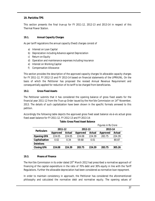# **19. Parichha TPS**

This section presents the final true-up for FY 2011-12, 2012-13 and 2013-14 in respect of this Thermal Power Station.

# **19.1. Annual Capacity Charges**

As per tariff regulations the annual capacity (fixed) charges consist of

- a) Interest on Loan Capital
- b) Depreciation including Advance against Depreciation
- c) Return on Equity
- d) Operation and maintenance expenses including insurance
- e) Interest on Working Capital
- f) Compensation Allowance

This section provides the description of the approved capacity charges Vs allowable capacity charges for FY 2011-12, FY 2012-13 and FY 2013-14 based on financial statements of the UPRVUNL. On the basis of which the Petitioner has proposed the revised Annual Revenue Requirement and consequentially applied for reduction of its tariff to be charged from beneficiaries.

# **19.2. Gross Fixed Assets**

The Petitioner submits that it has considered the opening balance of gross fixed assets for the financial year 2011-12 from the True-up Order issued by the Hon'ble Commission on  $14<sup>th</sup>$  November, 2013. The details of such capitalization have been shown in the specific formats annexed to this petition.

Accordingly the following table depicts the approved gross fixed asset balance vis-à-vis actual gross fixed asset balance for FY 2011-12, FY 2012-13 and FY 2013-14:

|                    |          |                          | Thurs III No GIUI <del>C</del> |                |                 |        |  |
|--------------------|----------|--------------------------|--------------------------------|----------------|-----------------|--------|--|
| <b>Particulars</b> | 2011-12  |                          | 2012-13                        |                | 2013-14         |        |  |
|                    | Approved | Actual                   | Approved                       | Actual         | <b>Approved</b> | Actual |  |
| <b>Opening GFA</b> | 224.05   | 224.05                   | 224.08                         | 224.39         | 283.75          | 224.39 |  |
| Capitalisation     | 0.02     | 0.34                     | 59.68                          | 0.01           |                 | 80.87  |  |
| <b>Deletions</b>   |          | $\overline{\phantom{0}}$ |                                | $\blacksquare$ |                 |        |  |
| <b>Closing GFA</b> | 224.08   | 224.39                   | 283.75                         | 224.39         | 283.75          | 305.26 |  |

#### **Table: Gross Fixed Asset Balance**

*Figures in Rs Crore*

# **19.3. Means of Finance**

The Hon'ble Commission in its order dated 20<sup>th</sup> March 2012 had prescribed a normative approach of financing of the capital expenditure in the ratio of 70% debt and 30% equity in line with the Tariff Regulations. Further the allowable depreciation had been considered as normative loan repayment.

In order to maintain consistency in approach, the Petitioner has considered the aforementioned philosophy and calculated the normative debt and normative equity. The opening values of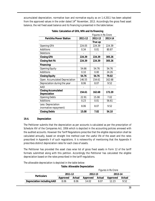accumulated depreciation, normative loan and normative equity as on 1.4.2011 has been adopted from the approved values in the order dated  $14<sup>th</sup>$  November, 2013. Accordingly the gross fixed asset balance, the net fixed asset balance and its financing is presented in the table below:

| <b>Figures in Rs Crore</b>                        |         |         |         |  |  |
|---------------------------------------------------|---------|---------|---------|--|--|
| <b>Parichha Power Station</b>                     | 2011-12 | 2012-13 | 2013-14 |  |  |
|                                                   |         | True up |         |  |  |
| <b>Opening GFA</b>                                | 224.05  | 224.39  | 224.39  |  |  |
| Additions                                         | 0.34    | 0.01    | 80.87   |  |  |
| Deletions                                         |         |         |         |  |  |
| <b>Closing GFA</b>                                | 224.39  | 224.39  | 305.26  |  |  |
| <b>Closing Net FA</b>                             | 224.39  | 224.39  | 305.26  |  |  |
| Financing:                                        |         |         |         |  |  |
| <b>Opening Equity</b>                             | 54.66   | 54.76   | 54.76   |  |  |
| Additions                                         | 0.10    | 0.00    | 24.26   |  |  |
| <b>Closing Equity</b>                             | 54.76   | 54.76   | 79.02   |  |  |
| Open. Accumulated Depreciation                    | 146.55  | 154.61  | 162.68  |  |  |
| Depreciation during the year                      | 8.06    | 8.07    | 9.52    |  |  |
| AAD                                               |         |         |         |  |  |
| <b>Closing Accumulated</b><br><b>Depreciation</b> | 154.61  | 162.68  | 172.20  |  |  |
| <b>Opening Debts</b>                              | 22.91   | 15.08   | 7.02    |  |  |
| Additions                                         | 0.23    | 0.01    | 56.61   |  |  |
| Less: Depreciation<br>(normative repayment)       | 8.06    | 8.07    | 9.52    |  |  |
| <b>Closing Debts</b>                              | 15.08   | 7.02    | 54.10   |  |  |

**Table: Calculation of GFA, NFA and its financing**

# **19.4. Depreciation**

The Petitioner submits that the depreciation as per accounts is calculated as per the prescription of Schedule XIV of the Companies Act, 1956 which is depicted in the accounting policies annexed with the audited accounts. However the Tariff Regulations prescribe that the eligible depreciation shall be calculated annually, based on straight line method over the useful life of the asset and the rates prescribed in Appendix II of such regulations. It is noteworthy of mentioning that the Appendix II prescribes distinct depreciation rates for each class of assets.

The Petitioner has provided the asset class wise list of gross fixed assets in Form 12 of the tariff formats submitted along with this petition. Accordingly the Petitioner has calculated the eligible depreciation based on the rates prescribed in the tariff regulations.

The allowable depreciation is depicted in the table below:

|                                   | <b>Figures in Rs Crore</b> |        |          |        |          |        |
|-----------------------------------|----------------------------|--------|----------|--------|----------|--------|
| <b>Particulars</b>                | 2011-12                    |        | 2012-13  |        | 2013-14  |        |
|                                   | Approved                   | Actual | Approved | Actual | Approved | Actual |
| <b>Depreciation including AAD</b> | 8.06                       | 8.06   | 14.02    | 8.07   | 12 23    | 9.52   |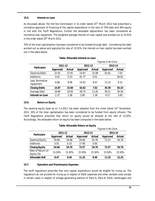#### **19.5. Interest on Loan**

As discussed above, the Hon'ble Commission in its order dated  $20<sup>th</sup>$  March 2012 had prescribed a normative approach of financing of the capital expenditure in the ratio of 70% debt and 30% equity in line with the Tariff Regulations. Further the allowable depreciation has been considered as normative loan repayment. The weighted average interest on loan capital was worked out at 10.91% in the order dated 20<sup>th</sup> March 2012.

70% of the total capitalisation has been considered to be funded through debt. Considering the debt worked out as above and applying the rate of 10.91%, the interest on loan capital has been worked out in the table below:

|                              |          |        | Figures in Rs Crore |        |          |               |
|------------------------------|----------|--------|---------------------|--------|----------|---------------|
| <b>Particulars</b>           | 2011-12  |        | 2012-13             |        | 2013-14  |               |
|                              | Approved | Actual | Approved            | Actual | Approved | <b>Actual</b> |
| <b>Opening Debts</b>         | 22.91    | 22.91  | 14.87               | 15.08  | 42.62    | 7.02          |
| Additions                    | 0.02     | 0.23   | 41.77               | 0.01   |          | 56.61         |
| Less: Normative<br>repayment | 8.06     | 8.06   | 14.02               | 8.07   | 12.23    | 9.52          |
| <b>Closing Debts</b>         | 14.87    | 15.08  | 42.62               | 7.02   | 30.39    | 54.10         |
| Average Debt                 | 18.89    | 19.00  | 28.75               | 11.05  | 36.51    | 30.56         |
| Interest on Loan             | 2.37     | 2.38   | 3.60                | 1.38   | 4.57     | 3.83          |

# **Table: Allowable Interest on Loan**

# **19.6. Return on Equity**

The opening equity base as on 1.4.2011 has been adopted from the order dated 14<sup>th</sup> November, 2013. 30% of the total capitalisation has been considered to be funded from equity infusion. The Tariff Regulations prescribe that return on equity would be allowed at the rate of 15.50%. Accordingly, the allowable return on equity has been computed in the table below:

|                                 |          |        | Figures in Rs Crore |        |          |        |  |
|---------------------------------|----------|--------|---------------------|--------|----------|--------|--|
|                                 | 2011-12  |        | 2012-13             |        | 2013-14  |        |  |
| <b>Particulars</b>              | Approved | Actual | <b>Approved</b>     | Actual | Approved | Actual |  |
| <b>Opening Equity</b>           | 54.66    | 54.66  | 54.66               | 54.76  | 72.57    | 54.76  |  |
| Additions                       | 0.01     | 0.10   | 17.90               | 0.00   |          |        |  |
| <b>Closing Equity</b>           | 54.66    | 54.76  | 72.57               | 54.76  | 72.57    | 54.76  |  |
| Rate of Return on<br>Equity (%) | 15.50%   | 15.50% | 15.50%              | 15.50% | 15.50%   | 15.50% |  |
| <b>Allowable RoE</b>            | 8.47     | 8.49   | 11.25               | 8.49   | 11.25    | 12.25  |  |

# **19.7. Operation and Maintenance Expenses**

The tariff regulations prescribe that only capital expenditure would be eligible for truing up. The regulations do not provide for truing up in respect of O&M expenses and other variable costs except in certain cases in respect of vintage generating stations of Obra A, Obra B, Panki, Harduaganj and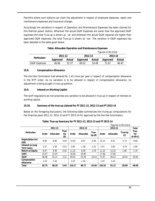Parichha where such stations can claim the adjustment in respect of employee expenses, repair and maintenance expenses and insurance charges.

Accordingly the variations in respect of Operation and Maintenance Expenses has been claimed for this thermal power station, Wherever the actual O&M Expenses are lower than the approved O&M expenses the total True-up is shown as '-ve' and wherever the actual O&M expense are higher than approved O&M expenses, the total True-up is shown as '+ve'. The variation in O&M expenses has been detailed in the table given below.

|                         |          |        | Figures in Rs Crore<br>2012-13<br>2013-14<br>Actual<br>Approved<br>Approved |       |       |        |
|-------------------------|----------|--------|-----------------------------------------------------------------------------|-------|-------|--------|
| <b>Particulars</b>      | 2011-12  |        |                                                                             |       |       |        |
|                         | Approved | Actual |                                                                             |       |       | Actual |
| <b>O&amp;M</b> Expenses | 46.96    | 52.37  | 69.02                                                                       | 54 49 | 72 97 | 46.43  |

# **Table: Allowable Operation and Maintenance Expenses**

# **19.8. Compensation Allowance**

The Hon'ble Commission had allowed Rs. 1.43 crore per year in respect of compensation allowance in the MYT order. As no variation is to be allowed in respect of compensation allowance, no adjustment is being sought in true-up petition.

# **19.9. Interest on Working Capital**

The tariff regulations do not prescribe any variation to be allowed in true-up in respect of interest on working capital.

# **19.10. Summary of the true-up claimed for FY 2011-12, 2012-13 and FY 2013-14**

Based on the foregoing discussions, the following table summarizes the truing-up computations for the financial years 2011-12, 2012-13 and FY 2013-14 for approval by the Hon'ble Commission.

|                                       | <b>Figures in Rs Crore</b> |                  |                    |        |           |                          |        |                  |                |                          |
|---------------------------------------|----------------------------|------------------|--------------------|--------|-----------|--------------------------|--------|------------------|----------------|--------------------------|
|                                       |                            | 2011-12          |                    |        | 2012-13   |                          |        | 2013-14          |                | Total                    |
| <b>Particulars</b>                    | Order                      | <b>Allowable</b> | True-<br>Up<br>(A) | Order  | Allowable | True-<br>Up(B)           | Order  | <b>Allowable</b> | True-Up<br>(C) | True-<br>Up<br>$(A+B+C)$ |
| Depreciation incl<br>AAD              | 8.06                       | 8.06             | 0.00               | 14.02  | 8.07      | $-5.95$                  | 12.23  | 9.52             | $-2.71$        | $-8.66$                  |
| Interest on Long<br><b>Term Loans</b> | 2.37                       | 2.38             | 0.01               | 3.60   | 1.38      | $-2.22$                  | 4.57   | 3.83             | $-0.74$        | $-2.95$                  |
| <b>Return on Equity</b>               | 8.47                       | 8.49             | 0.02               | 11.25  | 8.49      | $-2.76$                  | 11.25  | 12.25            | 1.00           | $-1.75$                  |
| <b>IoWC</b>                           | 15.47                      | 15.47            | ٠                  | 16.85  | 16.85     | $\overline{\phantom{a}}$ | 17.66  | 17.66            |                |                          |
| 0&M                                   | 46.96                      | 52.37            | 5.41               | 69.02  | 54.49     | $-14.53$                 | 72.97  | 46.43            | $-26.54$       | $-35.65$                 |
| Compensation<br>Allowance             | 1.43                       | 1.43             | ٠                  | 1.43   | 1.43      | $\overline{\phantom{a}}$ | 1.43   | 1.43             |                | ۰                        |
| <b>Total</b>                          | 82.75                      | 88.20            | 5.44               | 116.17 | 90.71     | $-25.46$                 | 120.10 | 91.12            | $-28.99$       | $-49.00$                 |

# **Table: True-up Summary for FY 2011-12, 2012-13 and FY 2013-14**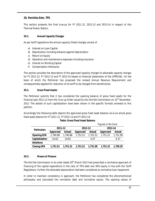# **20. Parichha Extn. TPS**

This section presents the final true-up for FY 2011-12, 2012-13 and 2013-14 in respect of this Thermal Power Station.

# **20.1. Annual Capacity Charges**

As per tariff regulations the annual capacity (fixed) charges consist of

- a) Interest on Loan Capital
- b) Depreciation including Advance against Depreciation
- c) Return on Equity
- d) Operation and maintenance expenses including insurance
- e) Interest on Working Capital
- f) Compensation Allowance

This section provides the description of the approved capacity charges Vs allowable capacity charges for FY 2011-12, FY 2012-13 and FY 2013-14 based on financial statements of the UPRVUNL. On the basis of which the Petitioner has proposed the revised Annual Revenue Requirement and consequentially applied for reduction of its tariff to be charged from beneficiaries.

# **20.2. Gross Fixed Assets**

The Petitioner submits that it has considered the opening balance of gross fixed assets for the financial year 2011-12 from the True-up Order issued by the Hon'ble Commission on  $14<sup>th</sup>$  November, 2013. The details of such capitalization have been shown in the specific formats annexed to this petition.

Accordingly the following table depicts the approved gross fixed asset balance vis-à-vis actual gross fixed asset balance for FY 2011-12, FY 2012-13 and FY 2013-14:

|                    |          |          | Figures in Rs Crore |          |          |          |  |
|--------------------|----------|----------|---------------------|----------|----------|----------|--|
| <b>Particulars</b> | 2011-12  |          | 2012-13             |          | 2013-14  |          |  |
|                    | Approved | Actual   | <b>Approved</b>     | Actual   | Approved | Actual   |  |
| <b>Opening GFA</b> | 1,740.88 | 1,740.88 | 1,751.51            | 1,751.51 | 1,751.51 | 1,751.99 |  |
| Capitalisation     | 10.63    | 10.63    |                     | 0.47     |          | 6.37     |  |
| <b>Deletions</b>   |          | ۰        |                     | -        |          |          |  |
| <b>Closing GFA</b> | 1,751.51 | 1,751.51 | 1,751.51            | 1,751.99 | 1,751.51 | 1,758.35 |  |

# **20.3. Means of Finance**

The Hon'ble Commission in its order dated 20<sup>th</sup> March 2012 had prescribed a normative approach of financing of the capital expenditure in the ratio of 70% debt and 30% equity in line with the Tariff Regulations. Further the allowable depreciation had been considered as normative loan repayment.

In order to maintain consistency in approach, the Petitioner has considered the aforementioned philosophy and calculated the normative debt and normative equity. The opening values of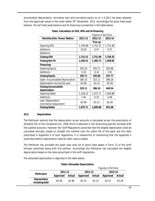accumulated depreciation, normative loan and normative equity as on 1.4.2011 has been adopted from the approved values in the order dated  $14<sup>th</sup>$  November, 2013. Accordingly the gross fixed asset balance, the net fixed asset balance and its financing is presented in the table below:

|                                     | <b>Figures in Rs Crore</b> |          |          |  |  |  |
|-------------------------------------|----------------------------|----------|----------|--|--|--|
| <b>Parichha Extn. Power Station</b> | 2011-12                    | 2012-13  | 2013-14  |  |  |  |
|                                     |                            | True up  |          |  |  |  |
| <b>Opening GFA</b>                  | 1,740.88                   | 1,751.51 | 1,751.99 |  |  |  |
| Additions                           | 10.63                      | 0.47     | 6.37     |  |  |  |
| Deletions                           |                            |          |          |  |  |  |
| <b>Closing GFA</b>                  | 1,751.51                   | 1,751.99 | 1,758.35 |  |  |  |
| <b>Closing Net FA</b>               | 1,428.41                   | 1,365.73 | 1,308.82 |  |  |  |
| Financing:                          |                            |          |          |  |  |  |
| <b>Opening Equity</b>               | 352.53                     | 355.71   | 355.86   |  |  |  |
| Additions                           | 3.19                       | 0.14     | 1.91     |  |  |  |
| <b>Closing Equity</b>               | 355.71                     | 355.86   | 357.77   |  |  |  |
| Open. Accumulated Depreciation      | 260.15                     | 323.11   | 386.26   |  |  |  |
| Depreciation during the year        | 62.96                      | 63.15    | 63.28    |  |  |  |
| <b>Closing Accumulated</b>          | 323.11                     | 386.26   | 449.54   |  |  |  |
| Depreciation                        |                            |          |          |  |  |  |
| <b>Opening Debts</b>                | 1,128.22                   | 1,072.71 | 1,009.88 |  |  |  |
| Additions                           | 7.44                       | 0.33     | 4.46     |  |  |  |
| Less: Depreciation                  | 62.96                      | 63.15    | 63.28    |  |  |  |
| (normative repayment)               |                            |          |          |  |  |  |
| <b>Closing Debts</b>                | 1,072.71                   | 1,009.88 | 951.06   |  |  |  |

**Table: Calculation of GFA, NFA and its financing**

# **20.4. Depreciation**

The Petitioner submits that the depreciation as per accounts is calculated as per the prescription of Schedule XIV of the Companies Act, 1956 which is depicted in the accounting policies annexed with the audited accounts. However the Tariff Regulations prescribe that the eligible depreciation shall be calculated annually, based on straight line method over the useful life of the asset and the rates prescribed in Appendix II of such regulations. It is noteworthy of mentioning that the Appendix II prescribes distinct depreciation rates for each class of assets.

The Petitioner has provided the asset class wise list of gross fixed assets in Form 12 of the tariff formats submitted along with this petition. Accordingly the Petitioner has calculated the eligible depreciation based on the rates prescribed in the tariff regulations.

The allowable depreciation is depicted in the table below:

**Table: Allowable Depreciation**

|                                      |          |               |          |        | Figures in Rs Crore |        |
|--------------------------------------|----------|---------------|----------|--------|---------------------|--------|
| <b>Particulars</b>                   | 2011-12  |               | 2012-13  |        | 2013-14             |        |
|                                      | Approved | <b>Actual</b> | Approved | Actual | Approved            | Actual |
| <b>Depreciation</b><br>including AAD | 62.96    | 62.96         | 63.15    | 63.15  | 63 15               | 63.28  |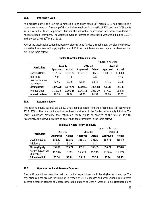#### **20.5. Interest on Loan**

As discussed above, the Hon'ble Commission in its order dated  $20<sup>th</sup>$  March 2012 had prescribed a normative approach of financing of the capital expenditure in the ratio of 70% debt and 30% equity in line with the Tariff Regulations. Further the allowable depreciation has been considered as normative loan repayment. The weighted average interest on loan capital was worked out at 10.91% in the order dated 20<sup>th</sup> March 2012.

70% of the total capitalisation has been considered to be funded through debt. Considering the debt worked out as above and applying the rate of 10.91%, the interest on loan capital has been worked out in the table below:

|                              |          |          | Figures in Rs Crore |               |                 |               |
|------------------------------|----------|----------|---------------------|---------------|-----------------|---------------|
| <b>Particulars</b>           | 2011-12  |          | 2012-13             |               | 2013-14         |               |
|                              | Approved | Actual   | Approved            | <b>Actual</b> | <b>Approved</b> | <b>Actual</b> |
| <b>Opening Debts</b>         | 1,128.22 | 1,128.22 | 1,072.70            | 1,072.71      | 1,009.56        | 1,009.88      |
| Additions                    | 7.44     | 7.44     |                     | 0.33          |                 | 4.46          |
| Less: Normative<br>repayment | 62.96    | 62.96    | 63.15               | 63.15         | 63.15           | 63.28         |
| <b>Closing Debts</b>         | 1,072.70 | 1,072.71 | 1,009.56            | 1,009.88      | 946.41          | 951.06        |
| Average Debt                 | 1,100.46 | 1,100.46 | 1,041.13            | 1,041.29      | 977.99          | 980.47        |
| Interest on Loan             | 99.70    | 99.70    | 94.33               | 94.34         | 88.60           | 88.83         |

# **Table: Allowable Interest on Loan**

# **20.6. Return on Equity**

The opening equity base as on 1.4.2011 has been adopted from the order dated 14<sup>th</sup> November, 2013. 30% of the total capitalisation has been considered to be funded from equity infusion. The Tariff Regulations prescribe that return on equity would be allowed at the rate of 15.50%. Accordingly, the allowable return on equity has been computed in the table below:

|                                 |          |               | Figures in Rs Crore |        |          |                          |  |
|---------------------------------|----------|---------------|---------------------|--------|----------|--------------------------|--|
| <b>Particulars</b>              | 2011-12  |               | 2012-13             |        | 2013-14  |                          |  |
|                                 | Approved | <b>Actual</b> | <b>Approved</b>     | Actual | Approved | Actual                   |  |
| <b>Opening Equity</b>           | 352.52   | 352.52        | 355.71              | 355.71 | 355.71   | 355.85                   |  |
| Additions                       | 3.19     | 3.19          |                     | 0.14   |          | $\overline{\phantom{a}}$ |  |
| <b>Closing Equity</b>           | 355.71   | 355.71        | 355.71              | 355.85 | 355.71   | 355.85                   |  |
| Rate of Return on<br>Equity (%) | 15.50%   | 15.50%        | 15.50%              | 15.50% | 15.50%   | 15.50%                   |  |
| <b>Allowable RoE</b>            | 55.14    | 55.14         | 55.14               | 55.16  | 55.14    | 55.45                    |  |

# **Table: Allowable Return on Equity**

#### **20.7. Operation and Maintenance Expenses**

The tariff regulations prescribe that only capital expenditure would be eligible for truing up. The regulations do not provide for truing up in respect of O&M expenses and other variable costs except in certain cases in respect of vintage generating stations of Obra A, Obra B, Panki, Harduaganj and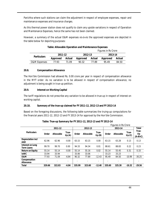Parichha where such stations can claim the adjustment in respect of employee expenses, repair and maintenance expenses and insurance charges.

As this thermal power station does not qualify to claim any upside variations in respect of Operation and Maintenance Expenses, hence the same has not been claimed.

However, a summary of the actual O&M expenses vis-à-vis the approved expenses are depicted in the table below for depicting purposes:

|                         |          |               |          | Figures in Rs Crore |          |        |  |
|-------------------------|----------|---------------|----------|---------------------|----------|--------|--|
| <b>Particulars</b>      | 2011-12  |               | 2012-13  |                     | 2013-14  |        |  |
|                         | Approved | <b>Actual</b> | Approved | Actual              | Approved | Actual |  |
| <b>O&amp;M Expenses</b> | 77.93    | 71 09         | 90.32    | 77.89               | 9549     | 84.50  |  |

# **Table: Allowable Operation and Maintenance Expenses**

# **20.8. Compensation Allowance**

The Hon'ble Commission had allowed Rs. 0.00 crore per year in respect of compensation allowance in the MYT order. As no variation is to be allowed in respect of compensation allowance, no adjustment is being sought in true-up petition.

# **20.9. Interest on Working Capital**

The tariff regulations do not prescribe any variation to be allowed in true-up in respect of interest on working capital.

# **20.10. Summary of the true-up claimed for FY 2011-12, 2012-13 and FY 2013-14**

Based on the foregoing discussions, the following table summarizes the truing-up computations for the financial years 2011-12, 2012-13 and FY 2013-14 for approval by the Hon'ble Commission.

|                                       | <b>Figures in Rs Crore</b> |                  |                          |        |                  |                          |        |                  |                          |                          |
|---------------------------------------|----------------------------|------------------|--------------------------|--------|------------------|--------------------------|--------|------------------|--------------------------|--------------------------|
|                                       |                            | 2011-12          |                          |        | 2012-13          |                          |        | 2013-14          |                          | Total                    |
| <b>Particulars</b>                    | Order                      | <b>Allowable</b> | True-<br>Up(A)           | Order  | <b>Allowable</b> | True-<br>Up(B)           | Order  | <b>Allowable</b> | True-<br>Up(G)           | True-<br>Up<br>$(A+B+C)$ |
| Depreciation incl<br>AAD              | 62.96                      | 62.96            | $-0.00$                  | 63.15  | 63.15            | 0.00                     | 63.15  | 63.28            | 0.13                     | 0.13                     |
| Interest on Long<br><b>Term Loans</b> | 99.70                      | 99.70            | 0.00                     | 94.33  | 94.34            | 0.01                     | 88.61  | 88.83            | 0.22                     | 0.23                     |
| <b>Return on Equity</b>               | 55.14                      | 55.14            | $-0.00$                  | 55.14  | 55.16            | 0.02                     | 55.14  | 55.45            | 0.31                     | 0.33                     |
| <b>IoWC</b>                           | 33.94                      | 33.94            | $\overline{\phantom{a}}$ | 33.06  | 33.06            | $\overline{\phantom{a}}$ | 33.23  | 33.23            | $\overline{\phantom{a}}$ | ٠                        |
| 0&M                                   | 77.93                      | 71.09            | $-6.84$                  | 90.32  | 77.89            | $-12.43$                 | 95.49  | 84.50            | $-10.99$                 | $-30.25$                 |
| Compensation<br>Allowance             |                            |                  | $\overline{\phantom{a}}$ |        |                  | ٠                        |        |                  |                          |                          |
| <b>Total</b>                          | 329.66                     | 322.83           | $-6.84$                  | 335.99 | 323.60           | $-12.40$                 | 335.60 | 325.30           | $-10.32$                 | $-29.56$                 |

# **Table: True-up Summary for FY 2011-12, 2012-13 and FY 2013-14**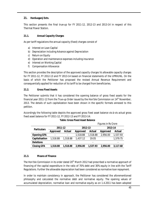# **21. Harduaganj Extn.**

This section presents the final true-up for FY 2011-12, 2012-13 and 2013-14 in respect of this Thermal Power Station.

# **21.1. Annual Capacity Charges**

As per tariff regulations the annual capacity (fixed) charges consist of

- a) Interest on Loan Capital
- b) Depreciation including Advance against Depreciation
- c) Return on Equity
- d) Operation and maintenance expenses including insurance
- e) Interest on Working Capital
- f) Compensation Allowance

This section provides the description of the approved capacity charges Vs allowable capacity charges for FY 2011-12, FY 2012-13 and FY 2013-14 based on financial statements of the UPRVUNL. On the basis of which the Petitioner has proposed the revised Annual Revenue Requirement and consequentially applied for reduction of its tariff to be charged from beneficiaries.

# **21.2. Gross Fixed Assets**

The Petitioner submits that it has considered the opening balance of gross fixed assets for the financial year 2011-12 from the True-up Order issued by the Hon'ble Commission on  $14<sup>th</sup>$  November, 2013. The details of such capitalization have been shown in the specific formats annexed to this petition.

Accordingly the following table depicts the approved gross fixed asset balance vis-à-vis actual gross fixed asset balance for FY 2011-12, FY 2012-13 and FY 2013-14:

|                    |                |                          | Figures in Rs Crore |          |          |          |  |
|--------------------|----------------|--------------------------|---------------------|----------|----------|----------|--|
| <b>Particulars</b> | 2011-12        |                          | 2012-13             |          | 2013-14  |          |  |
|                    | Approved       | Actual                   | <b>Approved</b>     | Actual   | Approved | Actual   |  |
| <b>Opening GFA</b> | $\blacksquare$ | $\overline{\phantom{a}}$ | 1,518.88            | 1,518.88 | 2,956.00 | 1,537.93 |  |
| Capitalisation     | 1,518.88       | 1,518.88                 | 1,437.12            | 19.05    |          | 1,579.75 |  |
| <b>Deletions</b>   |                | -                        |                     |          |          |          |  |
| <b>Closing GFA</b> | 1,518.88       | 1,518.88                 | 2,956.00            | 1,537.93 | 2,956.00 | 3,117.68 |  |

*Figures in Rs Crore*

# **21.3. Means of Finance**

The Hon'ble Commission in its order dated 20<sup>th</sup> March 2012 had prescribed a normative approach of financing of the capital expenditure in the ratio of 70% debt and 30% equity in line with the Tariff Regulations. Further the allowable depreciation had been considered as normative loan repayment.

In order to maintain consistency in approach, the Petitioner has considered the aforementioned philosophy and calculated the normative debt and normative equity. The opening values of accumulated depreciation, normative loan and normative equity as on 1.4.2011 has been adopted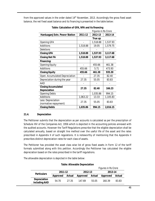from the approved values in the order dated  $14<sup>th</sup>$  November, 2013. Accordingly the gross fixed asset balance, the net fixed asset balance and its financing is presented in the table below:

|                                                   |          | Figures in Rs Crore |          |  |  |
|---------------------------------------------------|----------|---------------------|----------|--|--|
| Harduaganj Extn. Power Station                    | 2011-12  | 2012-13             | 2013-14  |  |  |
|                                                   |          | True up             |          |  |  |
| Opening GFA                                       |          | 1,518.88            | 1,537.93 |  |  |
| Additions                                         | 1,518.88 | 19.05               | 1,579.75 |  |  |
| Deletions                                         |          |                     |          |  |  |
| <b>Closing GFA</b>                                | 1,518.88 | 1,537.93            | 3,117.68 |  |  |
| <b>Closing Net FA</b>                             | 1,518.88 | 1,537.93            | 3,117.68 |  |  |
| Financing:                                        |          |                     |          |  |  |
| <b>Opening Equity</b>                             |          | 455.66              | 461.38   |  |  |
| Additions                                         | 455.66   | 5.71                | 473.93   |  |  |
| <b>Closing Equity</b>                             | 455.66   | 461.38              | 935.30   |  |  |
| Open. Accumulated Depreciation                    |          | 27.35               | 82.40    |  |  |
| Depreciation during the year                      | 27.35    | 55.05               | 83.83    |  |  |
| AAD                                               |          |                     |          |  |  |
| <b>Closing Accumulated</b><br><b>Depreciation</b> | 27.35    | 82.40               | 166.23   |  |  |
| <b>Opening Debts</b>                              |          | 1,035.86            | 994.15   |  |  |
| Additions                                         | 1,063.22 | 13.33               | 1,105.83 |  |  |
| Less: Depreciation<br>(normative repayment)       | 27.35    | 55.05               | 83.83    |  |  |
| <b>Closing Debts</b>                              | 1,035.86 | 994.15              | 2,016.15 |  |  |

**Table: Calculation of GFA, NFA and its financing**

# **21.4. Depreciation**

The Petitioner submits that the depreciation as per accounts is calculated as per the prescription of Schedule XIV of the Companies Act, 1956 which is depicted in the accounting policies annexed with the audited accounts. However the Tariff Regulations prescribe that the eligible depreciation shall be calculated annually, based on straight line method over the useful life of the asset and the rates prescribed in Appendix II of such regulations. It is noteworthy of mentioning that the Appendix II prescribes distinct depreciation rates for each class of assets.

The Petitioner has provided the asset class wise list of gross fixed assets in Form 12 of the tariff formats submitted along with this petition. Accordingly the Petitioner has calculated the eligible depreciation based on the rates prescribed in the tariff regulations.

The allowable depreciation is depicted in the table below:

 *Figures in Rs Crore* **Particulars 2011-12 2012-13 2013-14 Approved Actual Approved Actual Approved Actual Depreciation including AAD** 54.70 27.35 147.69 55.05 160.39 83.83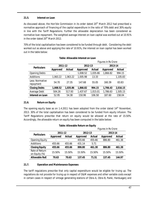# **21.5. Interest on Loan**

As discussed above, the Hon'ble Commission in its order dated  $20<sup>th</sup>$  March 2012 had prescribed a normative approach of financing of the capital expenditure in the ratio of 70% debt and 30% equity in line with the Tariff Regulations. Further the allowable depreciation has been considered as normative loan repayment. The weighted average interest on loan capital was worked out at 10.91% in the order dated 20<sup>th</sup> March 2012.

70% of the total capitalisation has been considered to be funded through debt. Considering the debt worked out as above and applying the rate of 10.91%, the interest on loan capital has been worked out in the table below:

|                              |                 |                          | Figures in Rs Crore |          |                 |               |  |
|------------------------------|-----------------|--------------------------|---------------------|----------|-----------------|---------------|--|
| <b>Particulars</b>           | 2011-12         |                          | 2012-13             |          | 2013-14         |               |  |
|                              | <b>Approved</b> | <b>Actual</b>            | Approved            | Actual   | <b>Approved</b> | <b>Actual</b> |  |
| <b>Opening Debts</b>         |                 | $\overline{\phantom{a}}$ | 1,008.52            | 1,035.86 | 1,866.82        | 994.15        |  |
| Additions                    | 1,063.22        | 1,063.22                 | 1,005.98            | 13.33    |                 | 1,105.83      |  |
| Less: Normative<br>repayment | 54.70           | 27.35                    | 147.68              | 55.05    | 160.39          | 83.83         |  |
| <b>Closing Debts</b>         | 1,008.52        | 1,035.86                 | 1,866.82            | 994.15   | 1,706.43        | 2,016.15      |  |
| Average Debt                 | 504.26          | 517.93                   | 1,437.67            | 1,015.01 | 1,786.63        | 1,505.15      |  |
| <b>Interest on Loan</b>      | 52.95           | 54.38                    | 150.96              | 106.58   | 187.60          | 158.04        |  |

# **Table: Allowable Interest on Loan**

# **21.6. Return on Equity**

The opening equity base as on 1.4.2011 has been adopted from the order dated 14<sup>th</sup> November, 2013. 30% of the total capitalisation has been considered to be funded from equity infusion. The Tariff Regulations prescribe that return on equity would be allowed at the rate of 15.50%. Accordingly, the allowable return on equity has been computed in the table below:

| Table: Allowable Return on Equity |  |  |
|-----------------------------------|--|--|
|                                   |  |  |

|                                 |          |               | Figures in Rs Crore |               |          |                          |  |
|---------------------------------|----------|---------------|---------------------|---------------|----------|--------------------------|--|
| <b>Particulars</b>              | 2011-12  |               | 2012-13             |               | 2013-14  |                          |  |
|                                 | Approved | <b>Actual</b> | Approved            | <b>Actual</b> | Approved | <b>Actual</b>            |  |
| <b>Opening Equity</b>           |          |               | 455.66              | 455.66        | 886.80   | 461.38                   |  |
| <b>Additions</b>                | 455.66   | 455.66        | 431.14              | 5.71          |          | $\overline{\phantom{a}}$ |  |
| <b>Closing Equity</b>           | 455.66   | 455.66        | 886.80              | 461.38        | 886.80   | 461.38                   |  |
| Rate of Return<br>on Equity (%) | 15.50%   | 15.50%        | 15.50%              | 15.50%        | 15.50%   | 15.50%                   |  |
| <b>Allowable RoE</b>            | 70.63    | 70.63         | 137.45              | 71.51         | 137.45   | 144.97                   |  |

# **21.7. Operation and Maintenance Expenses**

The tariff regulations prescribe that only capital expenditure would be eligible for truing up. The regulations do not provide for truing up in respect of O&M expenses and other variable costs except in certain cases in respect of vintage generating stations of Obra A, Obra B, Panki, Harduaganj and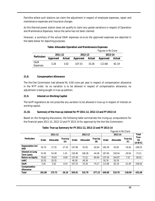Parichha where such stations can claim the adjustment in respect of employee expenses, repair and maintenance expenses and insurance charges.

As this thermal power station does not qualify to claim any upside variations in respect of Operation and Maintenance Expenses, hence the same has not been claimed.

However, a summary of the actual O&M expenses vis-à-vis the approved expenses are depicted in the table below for depicting purposes:

|                        |          |               |          |        | Figures in Rs Crore |               |  |
|------------------------|----------|---------------|----------|--------|---------------------|---------------|--|
| <b>Particulars</b>     | 2011-12  |               | 2012-13  |        | 2013-14             |               |  |
|                        | Approved | <b>Actual</b> | Approved | Actual | Approved            | <b>Actual</b> |  |
| 0&M<br><b>Expenses</b> | 3.26     | 3.02          | 107.53   | 33.26  | 113.68              | 82.19         |  |

#### **Table: Allowable Operation and Maintenance Expenses**

# **21.8. Compensation Allowance**

The Hon'ble Commission had allowed Rs. 0.00 crore per year in respect of compensation allowance in the MYT order. As no variation is to be allowed in respect of compensation allowance, no adjustment is being sought in true-up petition.

# **21.9. Interest on Working Capital**

The tariff regulations do not prescribe any variation to be allowed in true-up in respect of interest on working capital.

# **21.10. Summary of the true-up claimed for FY 2011-12, 2012-13 and FY 2013-14**

Based on the foregoing discussions, the following table summarizes the truing-up computations for the financial years 2011-12, 2012-13 and FY 2013-14 for approval by the Hon'ble Commission.

|                                       | <b>Figures in Rs Crore</b> |                  |                |         |                  |                |         |                  |                              |                          |
|---------------------------------------|----------------------------|------------------|----------------|---------|------------------|----------------|---------|------------------|------------------------------|--------------------------|
| 2011-12                               |                            |                  |                | 2012-13 |                  |                | 2013-14 |                  | Total                        |                          |
| <b>Particulars</b>                    | Order                      | <b>Allowable</b> | True-Up<br>(A) | Order   | <b>Allowable</b> | True-Up<br>(B) | Order   | <b>Allowable</b> | True-Up<br>$\left( 0\right)$ | True-<br>Up<br>$(A+B+C)$ |
| Depreciation incl<br>AAD              | 54.70                      | 27.35            | $-27.35$       | 147.69  | 55.05            | $-92.64$       | 160.39  | 83.83            | $-76.56$                     | $-196.55$                |
| Interest on Long<br><b>Term Loans</b> | 52.95                      | 54.38            | 1.43           | 150.96  | 106.58           | $-44.38$       | 187.60  | 158.04           | $-29.56$                     | $-72.51$                 |
| <b>Return on Equity</b>               | 70.63                      | 70.63            | $-0.00$        | 137.45  | 71.51            | $-65.94$       | 137.45  | 144.97           | 7.52                         | $-58.42$                 |
| <b>IoWC</b>                           | 20.35                      | 20.35            | ۰              | 49.39   | 49.39            |                | 50.76   | 50.76            | ٠                            |                          |
| 0&M                                   | 3.26                       | 3.02             | $-0.24$        | 107.53  | 33.26            | $-74.27$       | 113.68  | 82.19            | $-31.49$                     | $-106.00$                |
| Compensation<br><b>Allowance</b>      |                            |                  |                |         |                  |                |         |                  | ٠                            |                          |
| <b>Total</b>                          | 201.88                     | 175.73           | $-26.16$       | 593.01  | 315.79           | $-277.23$      | 649.89  | 519.79           | $-130.09$                    | $-433.48$                |

# **Table: True-up Summary for FY 2011-12, 2012-13 and FY 2013-14**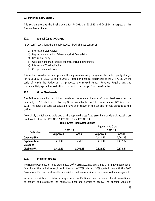# **22. Parichha Extn. Stage 2**

This section presents the final true-up for FY 2011-12, 2012-13 and 2013-14 in respect of this Thermal Power Station.

# **22.1. Annual Capacity Charges**

As per tariff regulations the annual capacity (fixed) charges consist of

- a) Interest on Loan Capital
- b) Depreciation including Advance against Depreciation
- c) Return on Equity
- d) Operation and maintenance expenses including insurance
- e) Interest on Working Capital
- f) Compensation Allowance

This section provides the description of the approved capacity charges Vs allowable capacity charges for FY 2011-12, FY 2012-13 and FY 2013-14 based on financial statements of the UPRVUNL. On the basis of which the Petitioner has proposed the revised Annual Revenue Requirement and consequentially applied for reduction of its tariff to be charged from beneficiaries.

# **22.2. Gross Fixed Assets**

The Petitioner submits that it has considered the opening balance of gross fixed assets for the financial year 2011-12 from the True-up Order issued by the Hon'ble Commission on  $14<sup>th</sup>$  November, 2013. The details of such capitalization have been shown in the specific formats annexed to this petition.

Accordingly the following table depicts the approved gross fixed asset balance vis-à-vis actual gross fixed asset balance for FY 2011-12, FY 2012-13 and FY 2013-14:

|                    |                          | Figures in Rs Crore |          |          |  |  |  |  |
|--------------------|--------------------------|---------------------|----------|----------|--|--|--|--|
| <b>Particulars</b> |                          | 2012-13             | 2013-14  |          |  |  |  |  |
|                    | <b>Approved</b>          | Actual              | Approved | Actual   |  |  |  |  |
| <b>Opening GFA</b> | $\overline{\phantom{a}}$ | ۰                   | 1,411.41 | 1,261.23 |  |  |  |  |
| Capitalisation     | 1,411.41                 | 1,261.23            | 1,411.41 | 1,412.32 |  |  |  |  |
| <b>Deletions</b>   |                          |                     |          | $\,$     |  |  |  |  |
| <b>Closing GFA</b> | 1,411.41                 | 1,261.23            | 2,822.82 | 2,673.54 |  |  |  |  |

# **Table: Gross Fixed Asset Balance**

#### **22.3. Means of Finance**

The Hon'ble Commission in its order dated 20<sup>th</sup> March 2012 had prescribed a normative approach of financing of the capital expenditure in the ratio of 70% debt and 30% equity in line with the Tariff Regulations. Further the allowable depreciation had been considered as normative loan repayment.

In order to maintain consistency in approach, the Petitioner has considered the aforementioned philosophy and calculated the normative debt and normative equity. The opening values of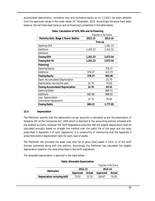accumulated depreciation, normative loan and normative equity as on 1.4.2011 has been adopted from the approved values in the order dated  $14<sup>th</sup>$  November, 2013. Accordingly the gross fixed asset balance, the net fixed asset balance and its financing is presented in the table below:

|                                             | <b>Figures in Rs Crore</b> |          |  |  |  |
|---------------------------------------------|----------------------------|----------|--|--|--|
| Parichha Extn. Stage 2 Power Station        | 2012-13                    | 2013-14  |  |  |  |
|                                             |                            | True up  |  |  |  |
| <b>Opening GFA</b>                          |                            | 1,261.23 |  |  |  |
| Additions                                   | 1,261.23                   | 1,412.32 |  |  |  |
| Deletions                                   |                            |          |  |  |  |
| <b>Closing GFA</b>                          | 1,261.23                   | 2,673.54 |  |  |  |
| <b>Closing Net FA</b>                       | 1,261.23                   | 2,673.54 |  |  |  |
| Financing:                                  |                            |          |  |  |  |
| Opening Equity                              |                            | 378.37   |  |  |  |
| Additions                                   | 378.37                     | 423.70   |  |  |  |
| <b>Closing Equity</b>                       | 378.37                     | 802.06   |  |  |  |
| Open. Accumulated Depreciation              |                            | 22.70    |  |  |  |
| Depreciation during the year                | 22.70                      | 70.83    |  |  |  |
| <b>Closing Accumulated Depreciation</b>     | 22.70                      | 93.53    |  |  |  |
| <b>Opening Debts</b>                        |                            | 860.15   |  |  |  |
| Additions                                   | 882.86                     | 988.62   |  |  |  |
| Less: Depreciation<br>(normative repayment) | 22.70                      | 70.83    |  |  |  |
| <b>Closing Debts</b>                        | 860.15                     | 1,777.95 |  |  |  |

# **Table: Calculation of GFA, NFA and its financing**

# **22.4. Depreciation**

The Petitioner submits that the depreciation as per accounts is calculated as per the prescription of Schedule XIV of the Companies Act, 1956 which is depicted in the accounting policies annexed with the audited accounts. However the Tariff Regulations prescribe that the eligible depreciation shall be calculated annually, based on straight line method over the useful life of the asset and the rates prescribed in Appendix II of such regulations. It is noteworthy of mentioning that the Appendix II prescribes distinct depreciation rates for each class of assets.

The Petitioner has provided the asset class wise list of gross fixed assets in Form 12 of the tariff formats submitted along with this petition. Accordingly the Petitioner has calculated the eligible depreciation based on the rates prescribed in the tariff regulations.

The allowable depreciation is depicted in the table below:

| <b>Table: Allowable Depreciation</b> |          |        |                     |        |  |  |  |
|--------------------------------------|----------|--------|---------------------|--------|--|--|--|
|                                      |          |        | Figures in Rs Crore |        |  |  |  |
| <b>Particulars</b>                   | 2012-13  |        | 2013-14             |        |  |  |  |
|                                      | Approved | Actual | <b>Approved</b>     | Actual |  |  |  |
| <b>Depreciation including AAD</b>    | 73.03    | 22.70  | 164.67              | 70.83  |  |  |  |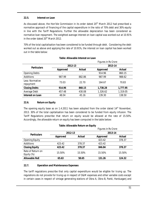# **22.5. Interest on Loan**

As discussed above, the Hon'ble Commission in its order dated  $20<sup>th</sup>$  March 2012 had prescribed a normative approach of financing of the capital expenditure in the ratio of 70% debt and 30% equity in line with the Tariff Regulations. Further the allowable depreciation has been considered as normative loan repayment. The weighted average interest on loan capital was worked out at 10.91% in the order dated 20<sup>th</sup> March 2012.

70% of the total capitalisation has been considered to be funded through debt. Considering the debt worked out as above and applying the rate of 10.91%, the interest on loan capital has been worked out in the table below:

|                              |                 |                                                                                                                                               | Figures in Rs Crore |          |  |  |
|------------------------------|-----------------|-----------------------------------------------------------------------------------------------------------------------------------------------|---------------------|----------|--|--|
| <b>Particulars</b>           |                 |                                                                                                                                               | 2013-14             |          |  |  |
|                              | <b>Approved</b> | 2012-13<br>Actual<br>Approved<br>914.96<br>987.99<br>882.86<br>22.70<br>164.67<br>1,738.28<br>860.15<br>1,326.62<br>430.08<br>139.30<br>45.16 | <b>Actual</b>       |          |  |  |
| <b>Opening Debts</b>         | ۰               |                                                                                                                                               |                     | 860.15   |  |  |
| <b>Additions</b>             | 987.99          |                                                                                                                                               |                     | 988.62   |  |  |
| Less: Normative<br>repayment | 73.03           |                                                                                                                                               |                     | 70.83    |  |  |
| <b>Closing Debts</b>         | 914.96          |                                                                                                                                               |                     | 1,777.95 |  |  |
| Average Debt                 | 457.48          |                                                                                                                                               |                     | 1,319.05 |  |  |
| Interest on Loan             | 48.04           |                                                                                                                                               |                     | 138.50   |  |  |

# **Table: Allowable Interest on Loan**

# **22.6. Return on Equity**

The opening equity base as on 1.4.2011 has been adopted from the order dated 14<sup>th</sup> November, 2013. 30% of the total capitalisation has been considered to be funded from equity infusion. The Tariff Regulations prescribe that return on equity would be allowed at the rate of 15.50%. Accordingly, the allowable return on equity has been computed in the table below:

| Table: Allowable Return on Equity |  |  |
|-----------------------------------|--|--|
|-----------------------------------|--|--|

|                                 |          |                 | Figures in Rs Crore                                                            |        |  |
|---------------------------------|----------|-----------------|--------------------------------------------------------------------------------|--------|--|
| <b>Particulars</b>              | 2012-13  |                 | 2013-14                                                                        |        |  |
|                                 | Approved | Actual          | Approved<br>423.42<br>423.42<br>378.37<br>378.37<br>846.84<br>15.50%<br>15.50% | Actual |  |
| <b>Opening Equity</b>           |          |                 |                                                                                | 378.37 |  |
| <b>Additions</b>                | 423.42   |                 |                                                                                | ۰      |  |
| <b>Closing Equity</b>           | 423.42   |                 |                                                                                |        |  |
| Rate of Return on<br>Equity (%) | 15.50%   |                 |                                                                                | 15.50% |  |
| <b>Allowable RoE</b>            | 65.63    | 131.26<br>58.65 |                                                                                | 124.32 |  |

# **22.7. Operation and Maintenance Expenses**

The tariff regulations prescribe that only capital expenditure would be eligible for truing up. The regulations do not provide for truing up in respect of O&M expenses and other variable costs except in certain cases in respect of vintage generating stations of Obra A, Obra B, Panki, Harduaganj and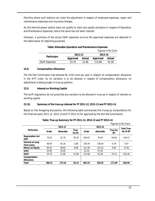Parichha where such stations can claim the adjustment in respect of employee expenses, repair and maintenance expenses and insurance charges.

As this thermal power station does not qualify to claim any upside variations in respect of Operation and Maintenance Expenses, hence the same has not been claimed.

However, a summary of the actual O&M expenses vis-à-vis the approved expenses are depicted in the table below for depicting purposes:

|                         |          |               |          | Figures in Rs Crore |  |
|-------------------------|----------|---------------|----------|---------------------|--|
| <b>Particulars</b>      | 2012-13  |               | 2013-14  |                     |  |
|                         | Approved | <b>Actual</b> | Approved | Actual              |  |
| <b>O&amp;M</b> Expenses | 53.76    | 21.80         | 113.68   | 43.36               |  |

#### **Table: Allowable Operation and Maintenance Expenses**

#### **22.8. Compensation Allowance**

The Hon'ble Commission had allowed Rs. 0.00 crore per year in respect of compensation allowance in the MYT order. As no variation is to be allowed in respect of compensation allowance, no adjustment is being sought in true-up petition.

# **22.9. Interest on Working Capital**

The tariff regulations do not prescribe any variation to be allowed in true-up in respect of interest on working capital.

# **22.10. Summary of the true-up claimed for FY 2011-12, 2012-13 and FY 2013-14**

Based on the foregoing discussions, the following table summarizes the truing-up computations for the financial years 2011-12, 2012-13 and FY 2013-14 for approval by the Hon'ble Commission.

|                                       |         |                  |                          | <b>Figures in Rs Crore</b> |                          |                |                                 |
|---------------------------------------|---------|------------------|--------------------------|----------------------------|--------------------------|----------------|---------------------------------|
|                                       | 2012-13 |                  | 2013-14                  |                            |                          |                |                                 |
| <b>Particulars</b>                    | Order   | <b>Allowable</b> | True-<br>Up(A)           | Order                      | <b>Allowable</b>         | True-Up<br>(B) | <b>Total True-</b><br>$Up(A+B)$ |
| Depreciation incl<br>AAD              | 73.03   | 22.70            | $-50.33$                 | 164.67                     | 70.83                    | $-93.84$       | $-144.17$                       |
| Interest on Long<br><b>Term Loans</b> | 48.04   | 45.16            | $-2.88$                  | 139.29                     | 138.50                   | $-0.79$        | $-3.67$                         |
| <b>Return on Equity</b>               | 65.63   | 58.65            | $-6.98$                  | 131.26                     | 124.32                   | $-6.94$        | $-13.92$                        |
| <b>IoWC</b>                           | 25.85   | 25.85            | ٠                        | 53.34                      | 53.34                    |                |                                 |
| 0&M                                   | 53.76   | 21.80            | $-31.96$                 | 113.68                     | 43.36                    | $-70.32$       | $-102.28$                       |
| Compensation<br><b>Allowance</b>      |         | ۰                | $\overline{\phantom{a}}$ | ٠                          | $\overline{\phantom{a}}$ |                |                                 |
| <b>Total</b>                          | 266.31  | 174.16           | $-92.15$                 | 602.25                     | 430.35                   | $-171.89$      | $-264.04$                       |

# **Table: True-up Summary for FY 2011-12, 2012-13 and FY 2013-14**